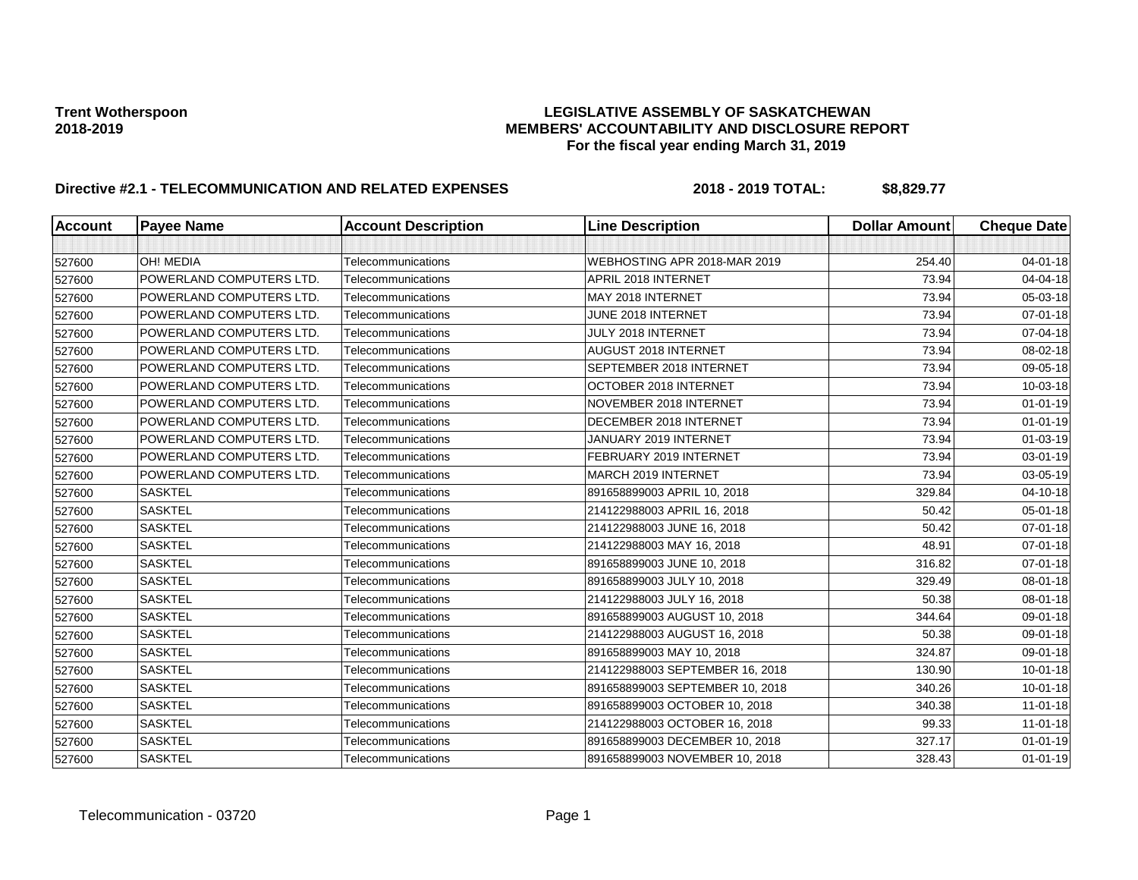| <b>Account</b> | <b>Payee Name</b>               | <b>Account Description</b> | <b>Line Description</b>         | <b>Dollar Amount</b> | <b>Cheque Date</b> |
|----------------|---------------------------------|----------------------------|---------------------------------|----------------------|--------------------|
|                |                                 |                            |                                 |                      |                    |
| 527600         | OH! MEDIA                       | Telecommunications         | WEBHOSTING APR 2018-MAR 2019    | 254.40               | $04 - 01 - 18$     |
| 527600         | POWERLAND COMPUTERS LTD.        | Telecommunications         | APRIL 2018 INTERNET             | 73.94                | 04-04-18           |
| 527600         | POWERLAND COMPUTERS LTD.        | Telecommunications         | MAY 2018 INTERNET               | 73.94                | 05-03-18           |
| 527600         | POWERLAND COMPUTERS LTD.        | Telecommunications         | JUNE 2018 INTERNET              | 73.94                | 07-01-18           |
| 527600         | POWERLAND COMPUTERS LTD.        | Telecommunications         | JULY 2018 INTERNET              | 73.94                | 07-04-18           |
| 527600         | <b>POWERLAND COMPUTERS LTD.</b> | Telecommunications         | AUGUST 2018 INTERNET            | 73.94                | 08-02-18           |
| 527600         | POWERLAND COMPUTERS LTD.        | Telecommunications         | SEPTEMBER 2018 INTERNET         | 73.94                | 09-05-18           |
| 527600         | POWERLAND COMPUTERS LTD.        | Telecommunications         | OCTOBER 2018 INTERNET           | 73.94                | 10-03-18           |
| 527600         | POWERLAND COMPUTERS LTD.        | Telecommunications         | NOVEMBER 2018 INTERNET          | 73.94                | $01 - 01 - 19$     |
| 527600         | POWERLAND COMPUTERS LTD.        | Telecommunications         | DECEMBER 2018 INTERNET          | 73.94                | $01 - 01 - 19$     |
| 527600         | POWERLAND COMPUTERS LTD.        | Telecommunications         | JANUARY 2019 INTERNET           | 73.94                | $01 - 03 - 19$     |
| 527600         | POWERLAND COMPUTERS LTD.        | Telecommunications         | FEBRUARY 2019 INTERNET          | 73.94                | 03-01-19           |
| 527600         | POWERLAND COMPUTERS LTD.        | Telecommunications         | MARCH 2019 INTERNET             | 73.94                | 03-05-19           |
| 527600         | <b>SASKTEL</b>                  | Telecommunications         | 891658899003 APRIL 10, 2018     | 329.84               | 04-10-18           |
| 527600         | <b>SASKTEL</b>                  | Telecommunications         | 214122988003 APRIL 16, 2018     | 50.42                | 05-01-18           |
| 527600         | <b>SASKTEL</b>                  | Telecommunications         | 214122988003 JUNE 16, 2018      | 50.42                | 07-01-18           |
| 527600         | <b>SASKTEL</b>                  | Telecommunications         | 214122988003 MAY 16, 2018       | 48.91                | 07-01-18           |
| 527600         | <b>SASKTEL</b>                  | Telecommunications         | 891658899003 JUNE 10, 2018      | 316.82               | $07 - 01 - 18$     |
| 527600         | <b>SASKTEL</b>                  | Telecommunications         | 891658899003 JULY 10, 2018      | 329.49               | 08-01-18           |
| 527600         | <b>SASKTEL</b>                  | Telecommunications         | 214122988003 JULY 16, 2018      | 50.38                | 08-01-18           |
| 527600         | <b>SASKTEL</b>                  | Telecommunications         | 891658899003 AUGUST 10, 2018    | 344.64               | 09-01-18           |
| 527600         | <b>SASKTEL</b>                  | Telecommunications         | 214122988003 AUGUST 16, 2018    | 50.38                | 09-01-18           |
| 527600         | <b>SASKTEL</b>                  | Telecommunications         | 891658899003 MAY 10, 2018       | 324.87               | 09-01-18           |
| 527600         | <b>SASKTEL</b>                  | Telecommunications         | 214122988003 SEPTEMBER 16, 2018 | 130.90               | $10 - 01 - 18$     |
| 527600         | <b>SASKTEL</b>                  | Telecommunications         | 891658899003 SEPTEMBER 10, 2018 | 340.26               | 10-01-18           |
| 527600         | SASKTEL                         | Telecommunications         | 891658899003 OCTOBER 10, 2018   | 340.38               | $11 - 01 - 18$     |
| 527600         | <b>SASKTEL</b>                  | Telecommunications         | 214122988003 OCTOBER 16, 2018   | 99.33                | $11 - 01 - 18$     |
| 527600         | <b>SASKTEL</b>                  | Telecommunications         | 891658899003 DECEMBER 10, 2018  | 327.17               | $01 - 01 - 19$     |
| 527600         | <b>SASKTEL</b>                  | Telecommunications         | 891658899003 NOVEMBER 10, 2018  | 328.43               | $01 - 01 - 19$     |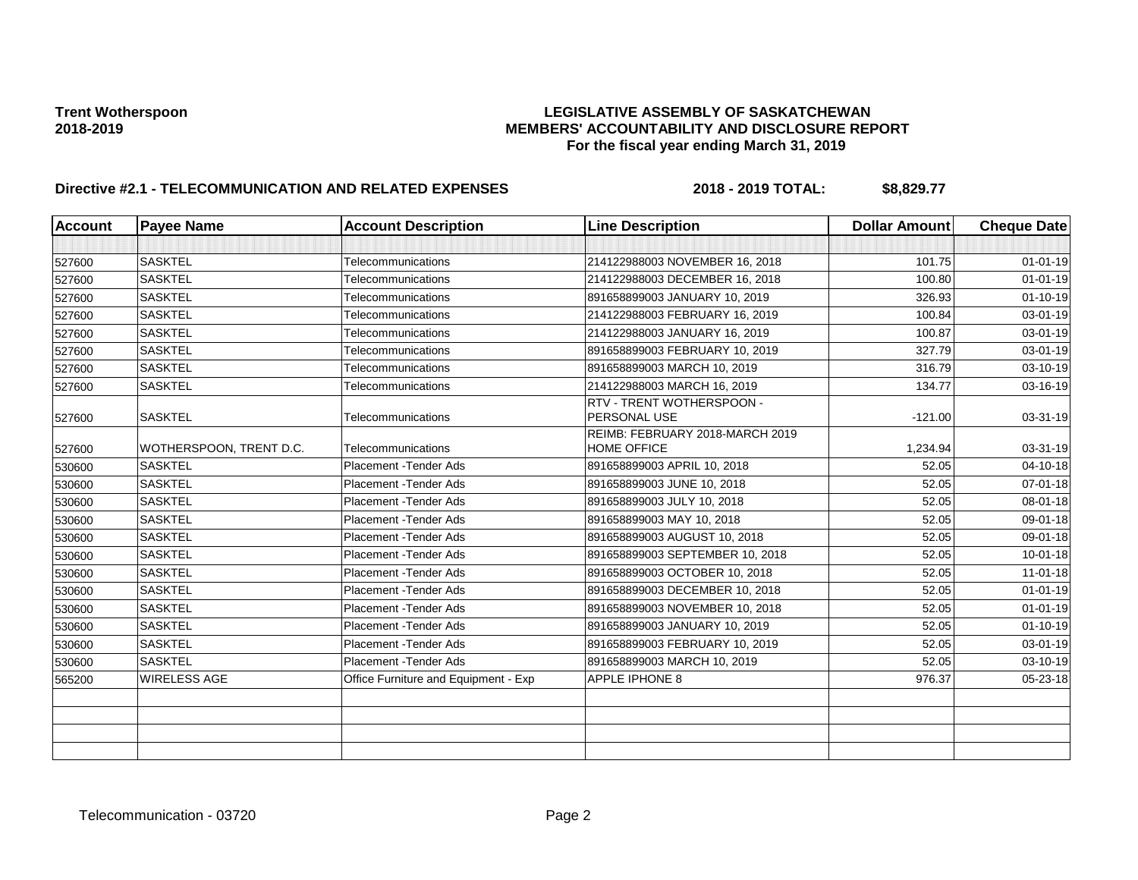| <b>Account</b> | <b>Payee Name</b>       | <b>Account Description</b>           | <b>Line Description</b>                               | <b>Dollar Amount</b> | <b>Cheque Date</b> |
|----------------|-------------------------|--------------------------------------|-------------------------------------------------------|----------------------|--------------------|
|                |                         |                                      |                                                       |                      |                    |
| 527600         | <b>SASKTEL</b>          | Telecommunications                   | 214122988003 NOVEMBER 16, 2018                        | 101.75               | $01 - 01 - 19$     |
| 527600         | <b>SASKTEL</b>          | Telecommunications                   | 214122988003 DECEMBER 16, 2018                        | 100.80               | $01 - 01 - 19$     |
| 527600         | <b>SASKTEL</b>          | Telecommunications                   | 891658899003 JANUARY 10, 2019                         | 326.93               | $01 - 10 - 19$     |
| 527600         | <b>SASKTEL</b>          | Telecommunications                   | 214122988003 FEBRUARY 16, 2019                        | 100.84               | 03-01-19           |
| 527600         | <b>SASKTEL</b>          | Telecommunications                   | 214122988003 JANUARY 16, 2019                         | 100.87               | 03-01-19           |
| 527600         | <b>SASKTEL</b>          | Telecommunications                   | 891658899003 FEBRUARY 10, 2019                        | 327.79               | 03-01-19           |
| 527600         | <b>SASKTEL</b>          | Telecommunications                   | 891658899003 MARCH 10, 2019                           | 316.79               | 03-10-19           |
| 527600         | <b>SASKTEL</b>          | Telecommunications                   | 214122988003 MARCH 16, 2019                           | 134.77               | 03-16-19           |
| 527600         | <b>SASKTEL</b>          | Telecommunications                   | RTV - TRENT WOTHERSPOON -<br>PERSONAL USE             | $-121.00$            | 03-31-19           |
| 527600         | WOTHERSPOON, TRENT D.C. | Telecommunications                   | REIMB: FEBRUARY 2018-MARCH 2019<br><b>HOME OFFICE</b> | 1,234.94             | 03-31-19           |
| 530600         | <b>SASKTEL</b>          | Placement - Tender Ads               | 891658899003 APRIL 10, 2018                           | 52.05                | 04-10-18           |
| 530600         | <b>SASKTEL</b>          | Placement - Tender Ads               | 891658899003 JUNE 10, 2018                            | 52.05                | $07 - 01 - 18$     |
| 530600         | <b>SASKTEL</b>          | Placement - Tender Ads               | 891658899003 JULY 10, 2018                            | 52.05                | 08-01-18           |
| 530600         | <b>SASKTEL</b>          | Placement - Tender Ads               | 891658899003 MAY 10, 2018                             | 52.05                | 09-01-18           |
| 530600         | <b>SASKTEL</b>          | Placement - Tender Ads               | 891658899003 AUGUST 10, 2018                          | 52.05                | 09-01-18           |
| 530600         | <b>SASKTEL</b>          | Placement - Tender Ads               | 891658899003 SEPTEMBER 10, 2018                       | 52.05                | $10 - 01 - 18$     |
| 530600         | <b>SASKTEL</b>          | Placement - Tender Ads               | 891658899003 OCTOBER 10, 2018                         | 52.05                | $11 - 01 - 18$     |
| 530600         | <b>SASKTEL</b>          | Placement - Tender Ads               | 891658899003 DECEMBER 10, 2018                        | 52.05                | $01 - 01 - 19$     |
| 530600         | <b>SASKTEL</b>          | Placement - Tender Ads               | 891658899003 NOVEMBER 10, 2018                        | 52.05                | $01 - 01 - 19$     |
| 530600         | <b>SASKTEL</b>          | Placement - Tender Ads               | 891658899003 JANUARY 10, 2019                         | 52.05                | $01 - 10 - 19$     |
| 530600         | <b>SASKTEL</b>          | Placement - Tender Ads               | 891658899003 FEBRUARY 10, 2019                        | 52.05                | 03-01-19           |
| 530600         | <b>SASKTEL</b>          | Placement - Tender Ads               | 891658899003 MARCH 10, 2019                           | 52.05                | 03-10-19           |
| 565200         | <b>WIRELESS AGE</b>     | Office Furniture and Equipment - Exp | APPLE IPHONE 8                                        | 976.37               | 05-23-18           |
|                |                         |                                      |                                                       |                      |                    |
|                |                         |                                      |                                                       |                      |                    |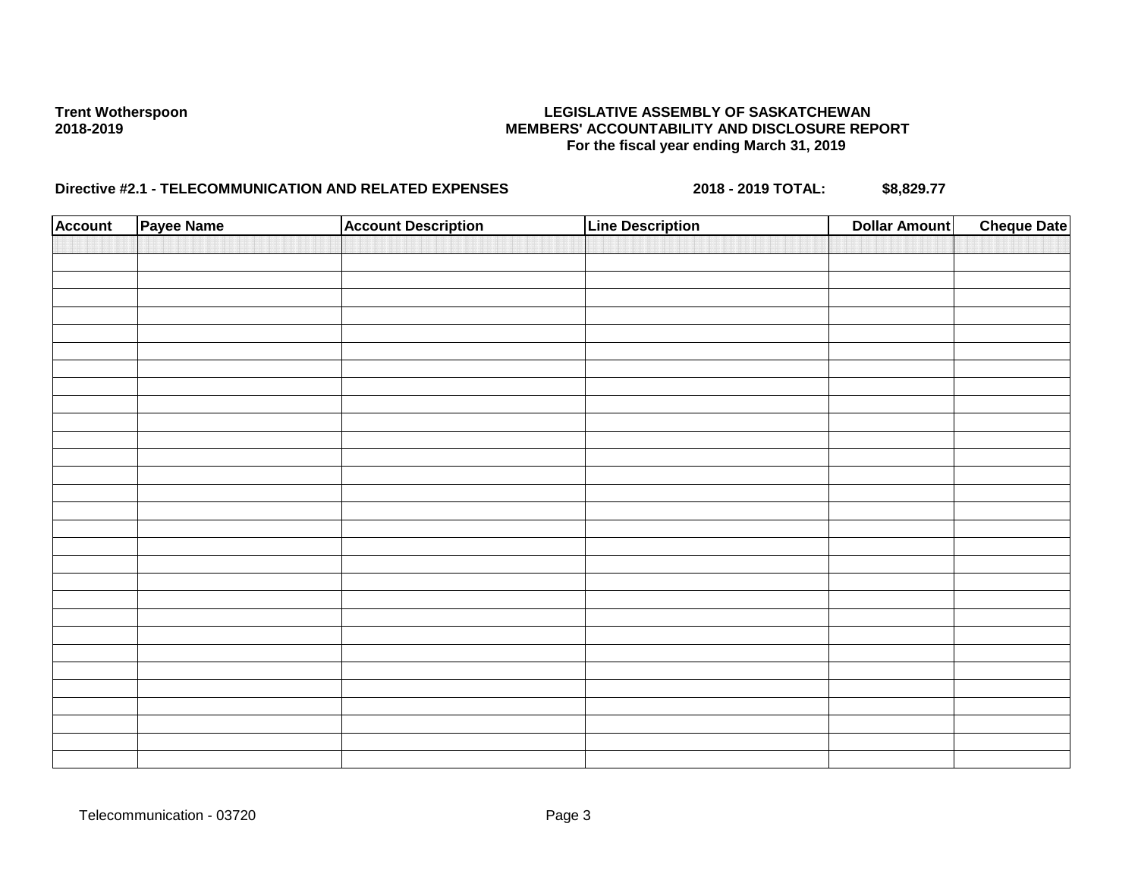| <b>Account</b> | Payee Name | <b>Account Description</b> | <b>Line Description</b> | <b>Dollar Amount</b> | <b>Cheque Date</b> |
|----------------|------------|----------------------------|-------------------------|----------------------|--------------------|
|                |            |                            |                         |                      |                    |
|                |            |                            |                         |                      |                    |
|                |            |                            |                         |                      |                    |
|                |            |                            |                         |                      |                    |
|                |            |                            |                         |                      |                    |
|                |            |                            |                         |                      |                    |
|                |            |                            |                         |                      |                    |
|                |            |                            |                         |                      |                    |
|                |            |                            |                         |                      |                    |
|                |            |                            |                         |                      |                    |
|                |            |                            |                         |                      |                    |
|                |            |                            |                         |                      |                    |
|                |            |                            |                         |                      |                    |
|                |            |                            |                         |                      |                    |
|                |            |                            |                         |                      |                    |
|                |            |                            |                         |                      |                    |
|                |            |                            |                         |                      |                    |
|                |            |                            |                         |                      |                    |
|                |            |                            |                         |                      |                    |
|                |            |                            |                         |                      |                    |
|                |            |                            |                         |                      |                    |
|                |            |                            |                         |                      |                    |
|                |            |                            |                         |                      |                    |
|                |            |                            |                         |                      |                    |
|                |            |                            |                         |                      |                    |
|                |            |                            |                         |                      |                    |
|                |            |                            |                         |                      |                    |
|                |            |                            |                         |                      |                    |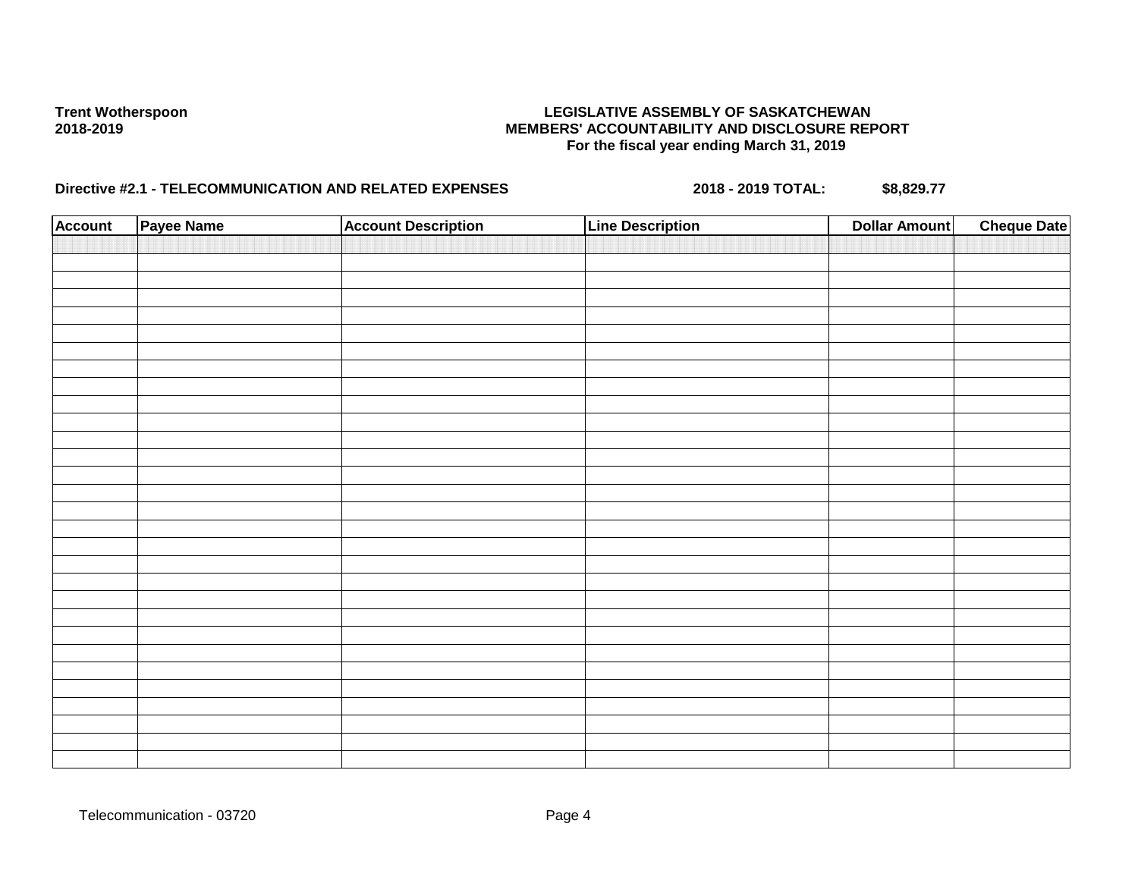| <b>Account</b> | Payee Name | <b>Account Description</b> | <b>Line Description</b> | <b>Dollar Amount</b> | <b>Cheque Date</b> |
|----------------|------------|----------------------------|-------------------------|----------------------|--------------------|
|                |            |                            |                         |                      |                    |
|                |            |                            |                         |                      |                    |
|                |            |                            |                         |                      |                    |
|                |            |                            |                         |                      |                    |
|                |            |                            |                         |                      |                    |
|                |            |                            |                         |                      |                    |
|                |            |                            |                         |                      |                    |
|                |            |                            |                         |                      |                    |
|                |            |                            |                         |                      |                    |
|                |            |                            |                         |                      |                    |
|                |            |                            |                         |                      |                    |
|                |            |                            |                         |                      |                    |
|                |            |                            |                         |                      |                    |
|                |            |                            |                         |                      |                    |
|                |            |                            |                         |                      |                    |
|                |            |                            |                         |                      |                    |
|                |            |                            |                         |                      |                    |
|                |            |                            |                         |                      |                    |
|                |            |                            |                         |                      |                    |
|                |            |                            |                         |                      |                    |
|                |            |                            |                         |                      |                    |
|                |            |                            |                         |                      |                    |
|                |            |                            |                         |                      |                    |
|                |            |                            |                         |                      |                    |
|                |            |                            |                         |                      |                    |
|                |            |                            |                         |                      |                    |
|                |            |                            |                         |                      |                    |
|                |            |                            |                         |                      |                    |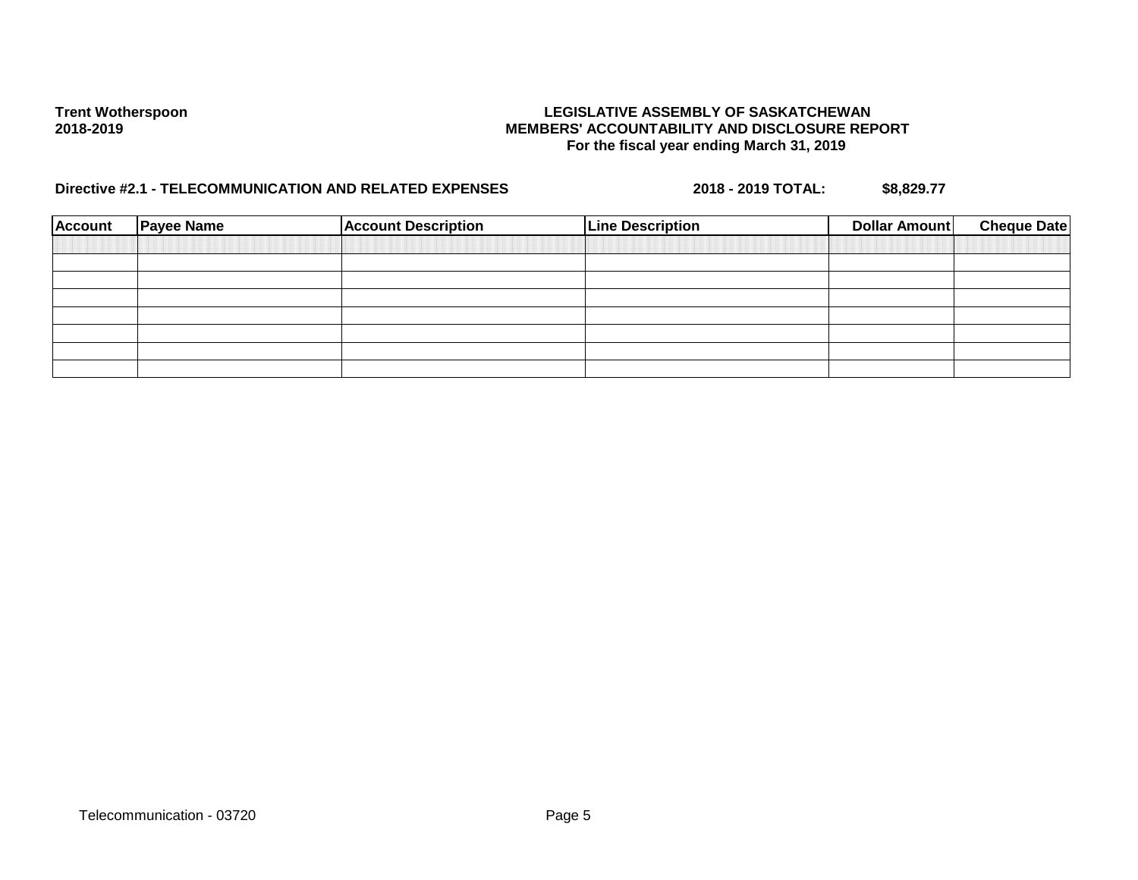| Account | <b>Payee Name</b> | <b>Account Description</b> | <b>Line Description</b> | Dollar Amount | <b>Cheque Date</b> |
|---------|-------------------|----------------------------|-------------------------|---------------|--------------------|
|         |                   |                            |                         |               |                    |
|         |                   |                            |                         |               |                    |
|         |                   |                            |                         |               |                    |
|         |                   |                            |                         |               |                    |
|         |                   |                            |                         |               |                    |
|         |                   |                            |                         |               |                    |
|         |                   |                            |                         |               |                    |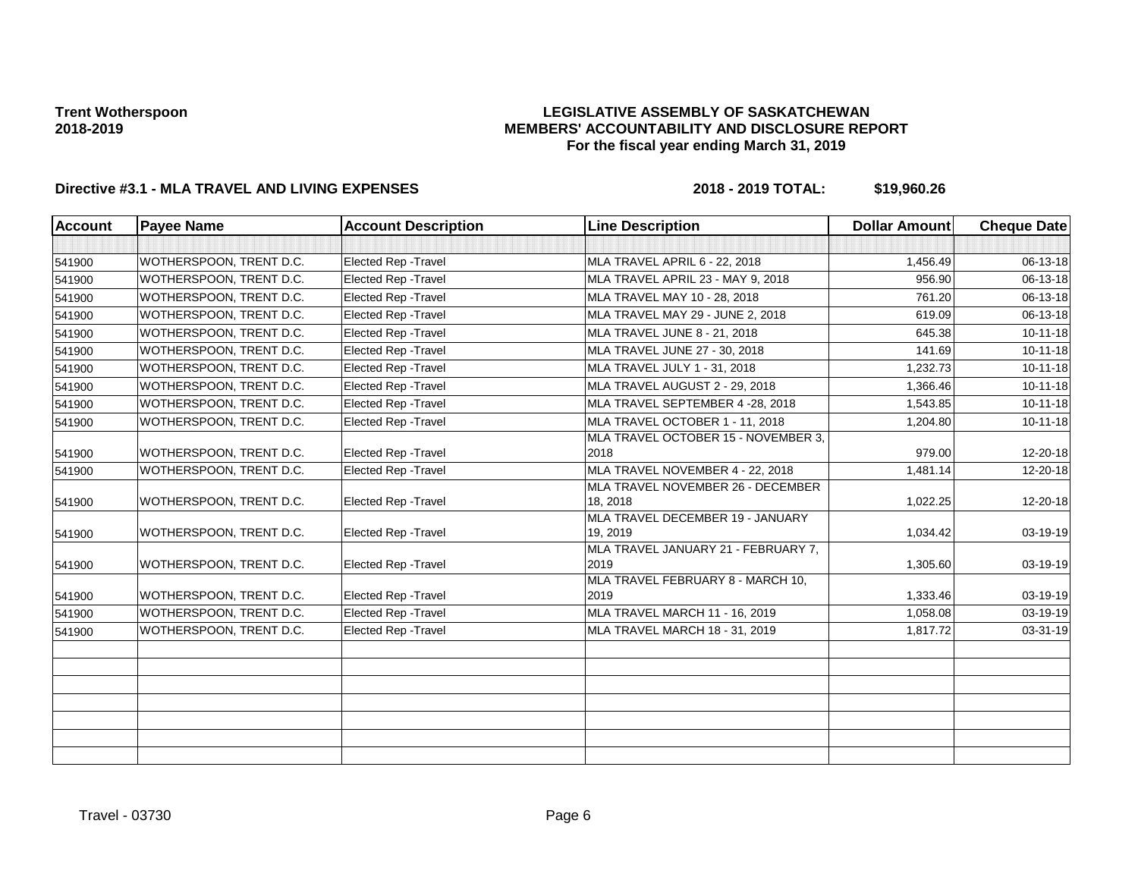### **LEGISLATIVE ASSEMBLY OF SASKATCHEWAN MEMBERS' ACCOUNTABILITY AND DISCLOSURE REPORT For the fiscal year ending March 31, 2019**

| <b>Account</b> | <b>Payee Name</b>       | <b>Account Description</b>  | <b>Line Description</b>                      | <b>Dollar Amount</b> | <b>Cheque Date</b> |
|----------------|-------------------------|-----------------------------|----------------------------------------------|----------------------|--------------------|
|                |                         |                             |                                              |                      |                    |
| 541900         | WOTHERSPOON, TRENT D.C. | Elected Rep - Travel        | MLA TRAVEL APRIL 6 - 22, 2018                | 1,456.49             | 06-13-18           |
| 541900         | WOTHERSPOON, TRENT D.C. | <b>Elected Rep - Travel</b> | MLA TRAVEL APRIL 23 - MAY 9, 2018            | 956.90               | 06-13-18           |
| 541900         | WOTHERSPOON, TRENT D.C. | <b>Elected Rep - Travel</b> | MLA TRAVEL MAY 10 - 28, 2018                 | 761.20               | $06 - 13 - 18$     |
| 541900         | WOTHERSPOON, TRENT D.C. | <b>Elected Rep - Travel</b> | MLA TRAVEL MAY 29 - JUNE 2, 2018             | 619.09               | 06-13-18           |
| 541900         | WOTHERSPOON, TRENT D.C. | Elected Rep - Travel        | MLA TRAVEL JUNE 8 - 21, 2018                 | 645.38               | $10 - 11 - 18$     |
| 541900         | WOTHERSPOON, TRENT D.C. | <b>Elected Rep - Travel</b> | MLA TRAVEL JUNE 27 - 30, 2018                | 141.69               | $10-11-18$         |
| 541900         | WOTHERSPOON, TRENT D.C. | <b>Elected Rep - Travel</b> | MLA TRAVEL JULY 1 - 31, 2018                 | 1,232.73             | $10 - 11 - 18$     |
| 541900         | WOTHERSPOON, TRENT D.C. | Elected Rep - Travel        | MLA TRAVEL AUGUST 2 - 29, 2018               | 1,366.46             | $10-11-18$         |
| 541900         | WOTHERSPOON, TRENT D.C. | <b>Elected Rep - Travel</b> | MLA TRAVEL SEPTEMBER 4 -28, 2018             | 1,543.85             | $10 - 11 - 18$     |
| 541900         | WOTHERSPOON, TRENT D.C. | Elected Rep - Travel        | MLA TRAVEL OCTOBER 1 - 11, 2018              | 1,204.80             | $10-11-18$         |
|                |                         |                             | MLA TRAVEL OCTOBER 15 - NOVEMBER 3,          |                      |                    |
| 541900         | WOTHERSPOON, TRENT D.C. | <b>Elected Rep - Travel</b> | 2018                                         | 979.00               | 12-20-18           |
| 541900         | WOTHERSPOON, TRENT D.C. | Elected Rep - Travel        | MLA TRAVEL NOVEMBER 4 - 22, 2018             | 1,481.14             | $12 - 20 - 18$     |
|                |                         |                             | MLA TRAVEL NOVEMBER 26 - DECEMBER            |                      |                    |
| 541900         | WOTHERSPOON, TRENT D.C. | <b>Elected Rep - Travel</b> | 18, 2018                                     | 1,022.25             | 12-20-18           |
| 541900         | WOTHERSPOON, TRENT D.C. | Elected Rep - Travel        | MLA TRAVEL DECEMBER 19 - JANUARY<br>19, 2019 | 1,034.42             | 03-19-19           |
|                |                         |                             | MLA TRAVEL JANUARY 21 - FEBRUARY 7,          |                      |                    |
| 541900         | WOTHERSPOON, TRENT D.C. | <b>Elected Rep - Travel</b> | 2019                                         | 1,305.60             | 03-19-19           |
|                |                         |                             | MLA TRAVEL FEBRUARY 8 - MARCH 10,            |                      |                    |
| 541900         | WOTHERSPOON, TRENT D.C. | <b>Elected Rep - Travel</b> | 2019                                         | 1,333.46             | 03-19-19           |
| 541900         | WOTHERSPOON, TRENT D.C. | Elected Rep - Travel        | MLA TRAVEL MARCH 11 - 16, 2019               | 1,058.08             | $03 - 19 - 19$     |
| 541900         | WOTHERSPOON, TRENT D.C. | Elected Rep - Travel        | MLA TRAVEL MARCH 18 - 31, 2019               | 1,817.72             | $03 - 31 - 19$     |
|                |                         |                             |                                              |                      |                    |
|                |                         |                             |                                              |                      |                    |
|                |                         |                             |                                              |                      |                    |
|                |                         |                             |                                              |                      |                    |
|                |                         |                             |                                              |                      |                    |
|                |                         |                             |                                              |                      |                    |
|                |                         |                             |                                              |                      |                    |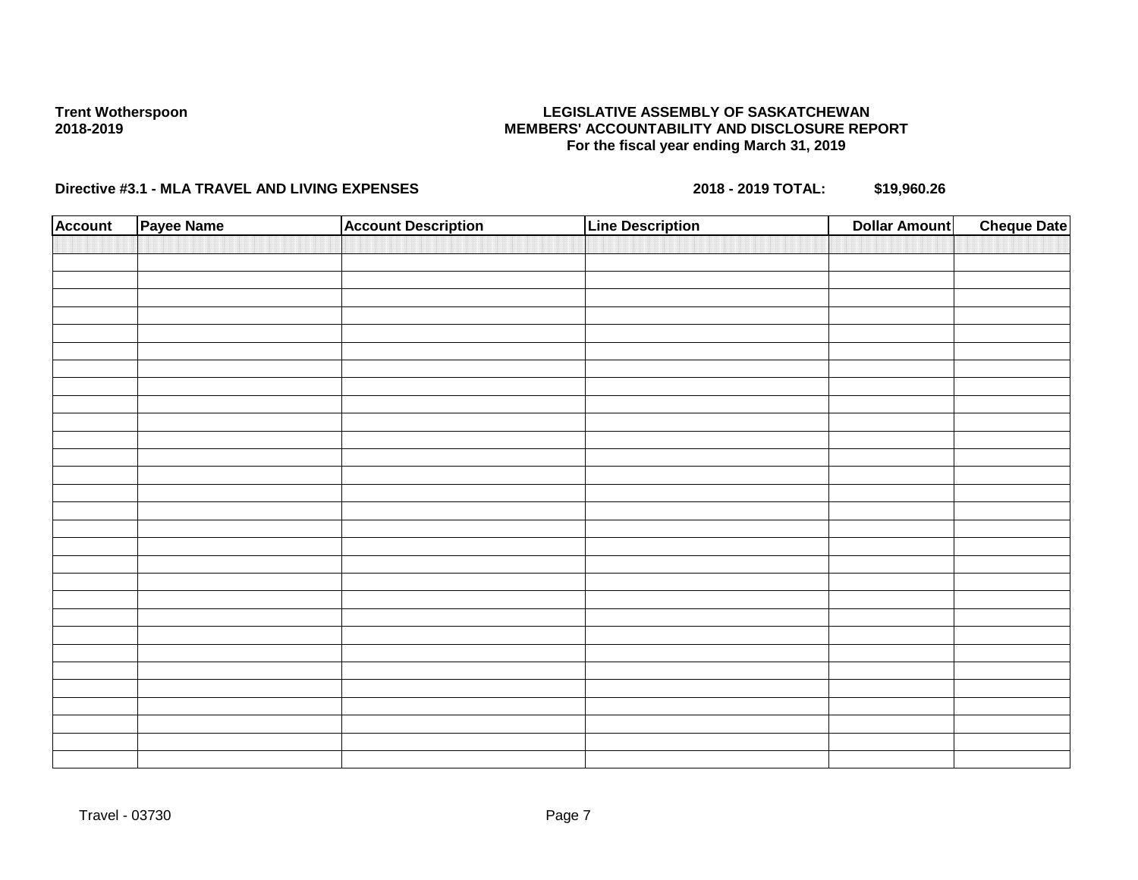### **LEGISLATIVE ASSEMBLY OF SASKATCHEWAN MEMBERS' ACCOUNTABILITY AND DISCLOSURE REPORT For the fiscal year ending March 31, 2019**

| <b>Account</b> | Payee Name | <b>Account Description</b> | <b>Line Description</b> | <b>Dollar Amount</b> | <b>Cheque Date</b> |
|----------------|------------|----------------------------|-------------------------|----------------------|--------------------|
|                |            |                            |                         |                      |                    |
|                |            |                            |                         |                      |                    |
|                |            |                            |                         |                      |                    |
|                |            |                            |                         |                      |                    |
|                |            |                            |                         |                      |                    |
|                |            |                            |                         |                      |                    |
|                |            |                            |                         |                      |                    |
|                |            |                            |                         |                      |                    |
|                |            |                            |                         |                      |                    |
|                |            |                            |                         |                      |                    |
|                |            |                            |                         |                      |                    |
|                |            |                            |                         |                      |                    |
|                |            |                            |                         |                      |                    |
|                |            |                            |                         |                      |                    |
|                |            |                            |                         |                      |                    |
|                |            |                            |                         |                      |                    |
|                |            |                            |                         |                      |                    |
|                |            |                            |                         |                      |                    |
|                |            |                            |                         |                      |                    |
|                |            |                            |                         |                      |                    |
|                |            |                            |                         |                      |                    |
|                |            |                            |                         |                      |                    |
|                |            |                            |                         |                      |                    |
|                |            |                            |                         |                      |                    |
|                |            |                            |                         |                      |                    |
|                |            |                            |                         |                      |                    |
|                |            |                            |                         |                      |                    |
|                |            |                            |                         |                      |                    |
|                |            |                            |                         |                      |                    |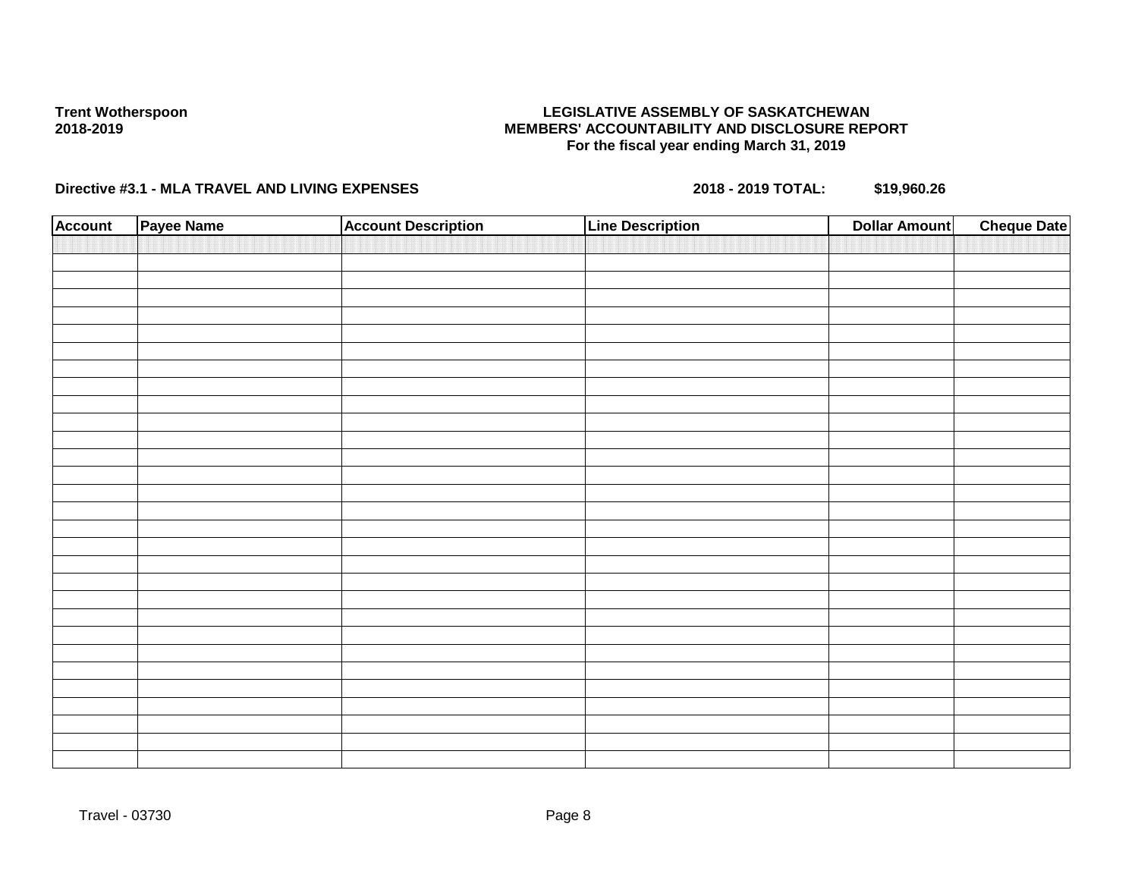## **LEGISLATIVE ASSEMBLY OF SASKATCHEWAN MEMBERS' ACCOUNTABILITY AND DISCLOSURE REPORT For the fiscal year ending March 31, 2019**

| <b>Account</b> | Payee Name | <b>Account Description</b> | <b>Line Description</b> | <b>Dollar Amount</b> | <b>Cheque Date</b> |
|----------------|------------|----------------------------|-------------------------|----------------------|--------------------|
|                |            |                            |                         |                      |                    |
|                |            |                            |                         |                      |                    |
|                |            |                            |                         |                      |                    |
|                |            |                            |                         |                      |                    |
|                |            |                            |                         |                      |                    |
|                |            |                            |                         |                      |                    |
|                |            |                            |                         |                      |                    |
|                |            |                            |                         |                      |                    |
|                |            |                            |                         |                      |                    |
|                |            |                            |                         |                      |                    |
|                |            |                            |                         |                      |                    |
|                |            |                            |                         |                      |                    |
|                |            |                            |                         |                      |                    |
|                |            |                            |                         |                      |                    |
|                |            |                            |                         |                      |                    |
|                |            |                            |                         |                      |                    |
|                |            |                            |                         |                      |                    |
|                |            |                            |                         |                      |                    |
|                |            |                            |                         |                      |                    |
|                |            |                            |                         |                      |                    |
|                |            |                            |                         |                      |                    |
|                |            |                            |                         |                      |                    |
|                |            |                            |                         |                      |                    |
|                |            |                            |                         |                      |                    |
|                |            |                            |                         |                      |                    |
|                |            |                            |                         |                      |                    |
|                |            |                            |                         |                      |                    |
|                |            |                            |                         |                      |                    |
|                |            |                            |                         |                      |                    |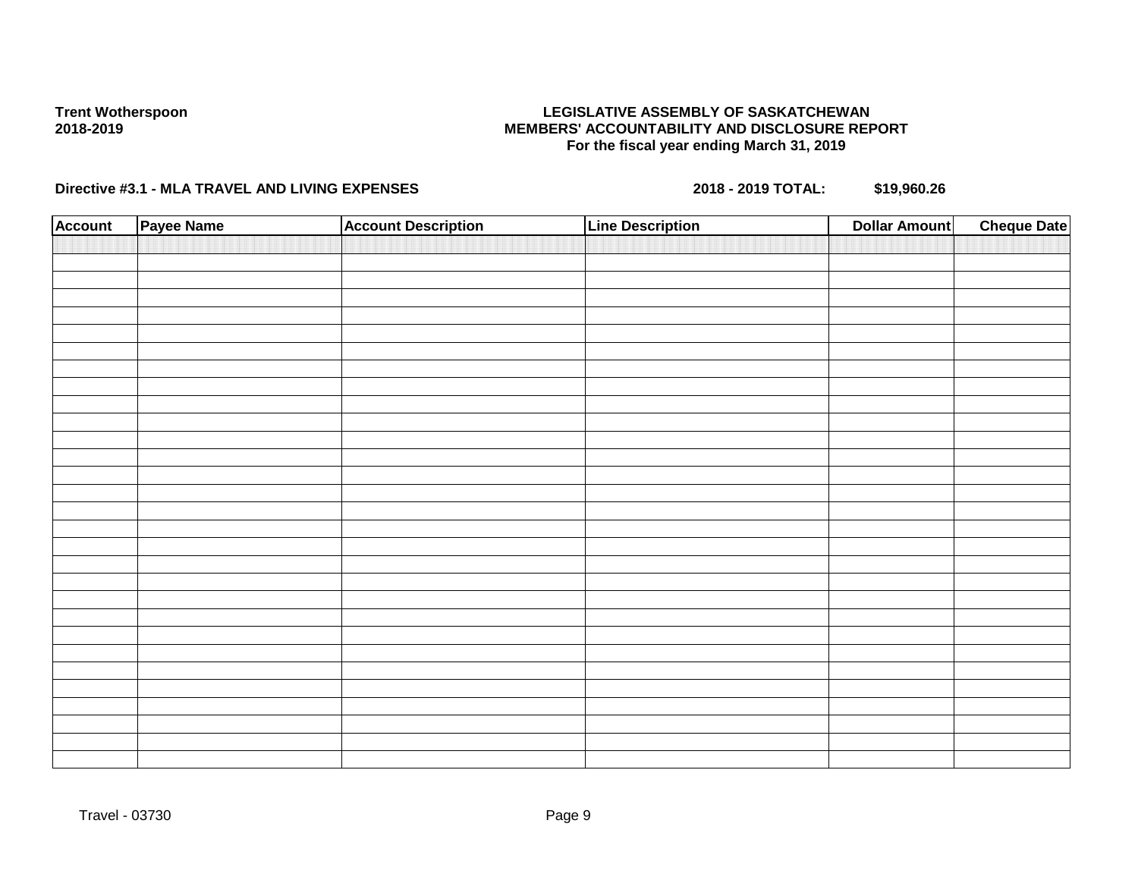### **LEGISLATIVE ASSEMBLY OF SASKATCHEWAN MEMBERS' ACCOUNTABILITY AND DISCLOSURE REPORT For the fiscal year ending March 31, 2019**

| <b>Account</b> | Payee Name | <b>Account Description</b> | <b>Line Description</b> | <b>Dollar Amount</b> | <b>Cheque Date</b> |
|----------------|------------|----------------------------|-------------------------|----------------------|--------------------|
|                |            |                            |                         |                      |                    |
|                |            |                            |                         |                      |                    |
|                |            |                            |                         |                      |                    |
|                |            |                            |                         |                      |                    |
|                |            |                            |                         |                      |                    |
|                |            |                            |                         |                      |                    |
|                |            |                            |                         |                      |                    |
|                |            |                            |                         |                      |                    |
|                |            |                            |                         |                      |                    |
|                |            |                            |                         |                      |                    |
|                |            |                            |                         |                      |                    |
|                |            |                            |                         |                      |                    |
|                |            |                            |                         |                      |                    |
|                |            |                            |                         |                      |                    |
|                |            |                            |                         |                      |                    |
|                |            |                            |                         |                      |                    |
|                |            |                            |                         |                      |                    |
|                |            |                            |                         |                      |                    |
|                |            |                            |                         |                      |                    |
|                |            |                            |                         |                      |                    |
|                |            |                            |                         |                      |                    |
|                |            |                            |                         |                      |                    |
|                |            |                            |                         |                      |                    |
|                |            |                            |                         |                      |                    |
|                |            |                            |                         |                      |                    |
|                |            |                            |                         |                      |                    |
|                |            |                            |                         |                      |                    |
|                |            |                            |                         |                      |                    |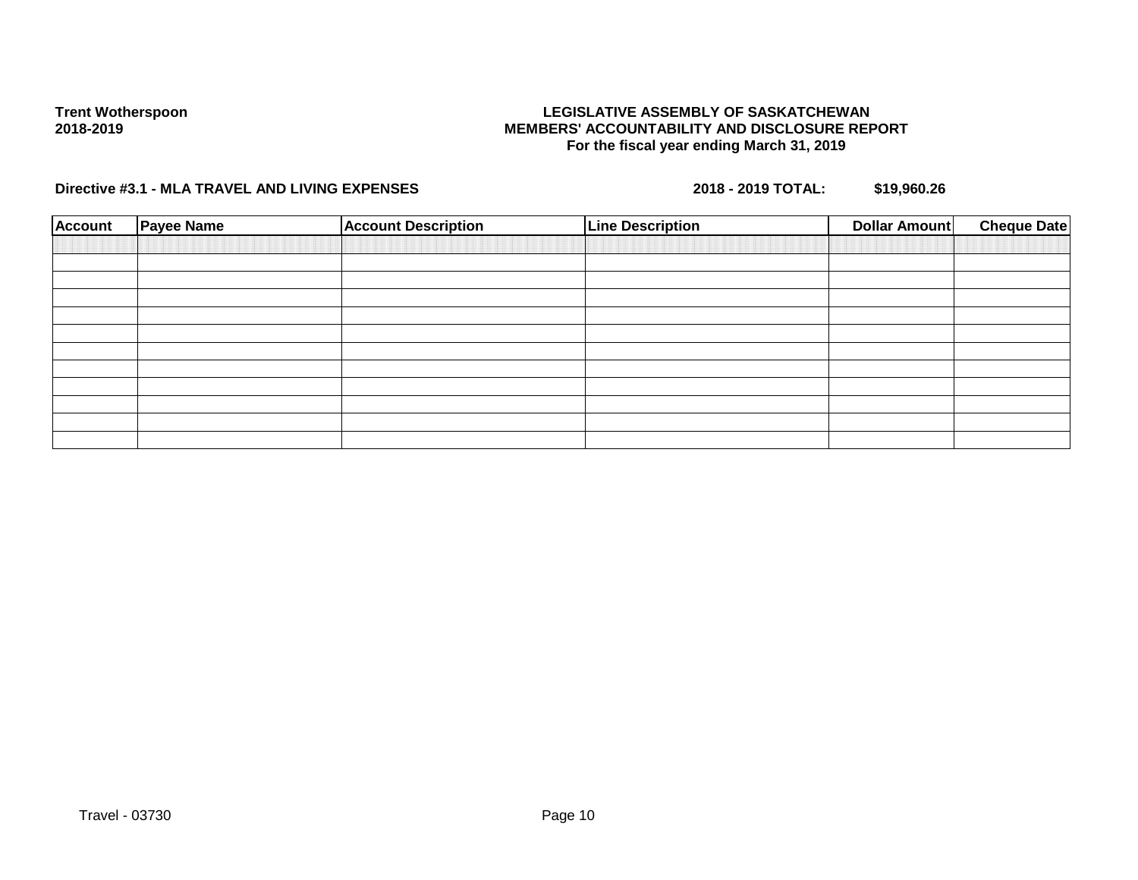### **LEGISLATIVE ASSEMBLY OF SASKATCHEWAN MEMBERS' ACCOUNTABILITY AND DISCLOSURE REPORT For the fiscal year ending March 31, 2019**

| <b>Account</b> | <b>Payee Name</b> | <b>Account Description</b> | <b>Line Description</b> | <b>Dollar Amount</b> | <b>Cheque Date</b> |
|----------------|-------------------|----------------------------|-------------------------|----------------------|--------------------|
|                |                   |                            |                         |                      |                    |
|                |                   |                            |                         |                      |                    |
|                |                   |                            |                         |                      |                    |
|                |                   |                            |                         |                      |                    |
|                |                   |                            |                         |                      |                    |
|                |                   |                            |                         |                      |                    |
|                |                   |                            |                         |                      |                    |
|                |                   |                            |                         |                      |                    |
|                |                   |                            |                         |                      |                    |
|                |                   |                            |                         |                      |                    |
|                |                   |                            |                         |                      |                    |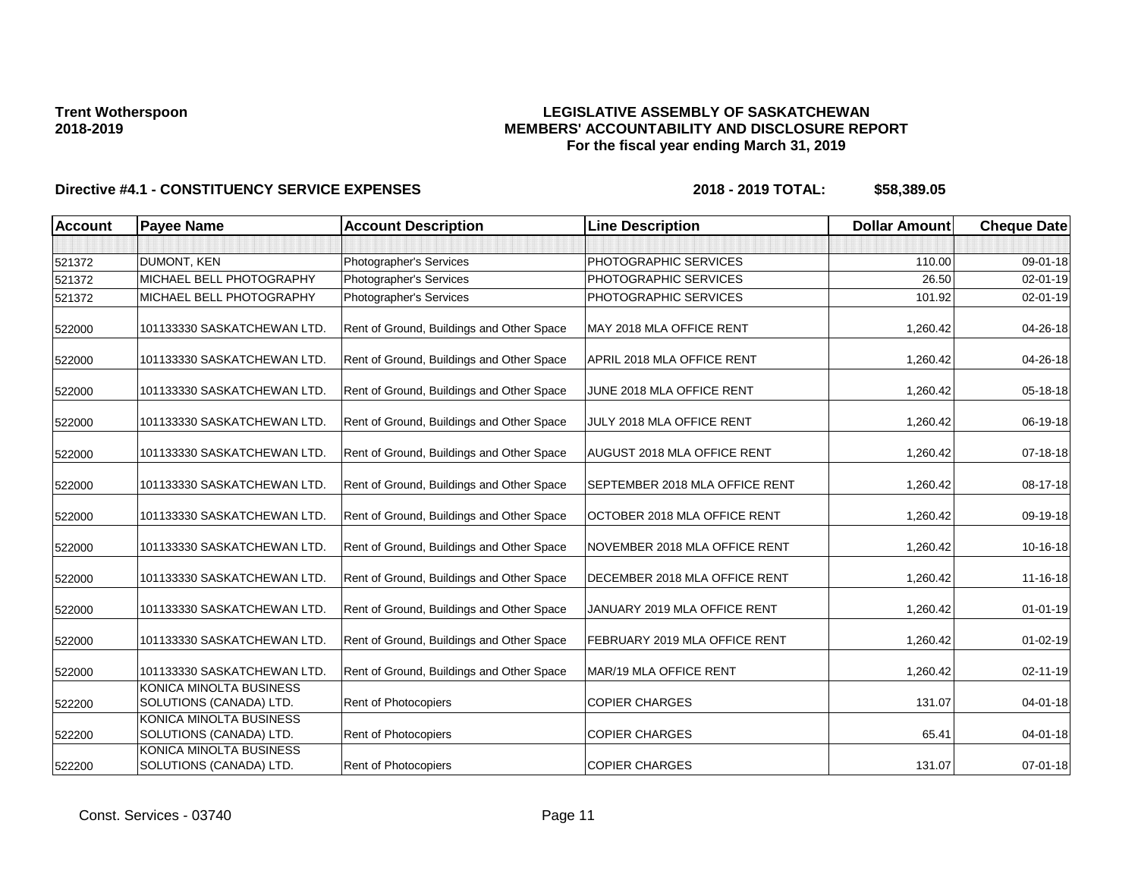### **LEGISLATIVE ASSEMBLY OF SASKATCHEWAN MEMBERS' ACCOUNTABILITY AND DISCLOSURE REPORT For the fiscal year ending March 31, 2019**

| <b>Account</b> | <b>Payee Name</b>                                  | <b>Account Description</b>                | <b>Line Description</b>        | <b>Dollar Amount</b> | <b>Cheque Date</b> |
|----------------|----------------------------------------------------|-------------------------------------------|--------------------------------|----------------------|--------------------|
|                |                                                    |                                           |                                |                      |                    |
| 521372         | DUMONT, KEN                                        | Photographer's Services                   | PHOTOGRAPHIC SERVICES          | 110.00               | 09-01-18           |
| 521372         | MICHAEL BELL PHOTOGRAPHY                           | Photographer's Services                   | PHOTOGRAPHIC SERVICES          | 26.50                | 02-01-19           |
| 521372         | MICHAEL BELL PHOTOGRAPHY                           | Photographer's Services                   | PHOTOGRAPHIC SERVICES          | 101.92               | 02-01-19           |
| 522000         | 101133330 SASKATCHEWAN LTD.                        | Rent of Ground, Buildings and Other Space | MAY 2018 MLA OFFICE RENT       | 1,260.42             | 04-26-18           |
| 522000         | 101133330 SASKATCHEWAN LTD.                        | Rent of Ground, Buildings and Other Space | APRIL 2018 MLA OFFICE RENT     | 1.260.42             | 04-26-18           |
| 522000         | 101133330 SASKATCHEWAN LTD.                        | Rent of Ground, Buildings and Other Space | JUNE 2018 MLA OFFICE RENT      | 1,260.42             | 05-18-18           |
| 522000         | 101133330 SASKATCHEWAN LTD.                        | Rent of Ground, Buildings and Other Space | JULY 2018 MLA OFFICE RENT      | 1,260.42             | 06-19-18           |
| 522000         | 101133330 SASKATCHEWAN LTD.                        | Rent of Ground, Buildings and Other Space | AUGUST 2018 MLA OFFICE RENT    | 1,260.42             | $07 - 18 - 18$     |
| 522000         | 101133330 SASKATCHEWAN LTD.                        | Rent of Ground, Buildings and Other Space | SEPTEMBER 2018 MLA OFFICE RENT | 1,260.42             | 08-17-18           |
| 522000         | 101133330 SASKATCHEWAN LTD.                        | Rent of Ground, Buildings and Other Space | OCTOBER 2018 MLA OFFICE RENT   | 1,260.42             | 09-19-18           |
| 522000         | 101133330 SASKATCHEWAN LTD.                        | Rent of Ground, Buildings and Other Space | NOVEMBER 2018 MLA OFFICE RENT  | 1,260.42             | 10-16-18           |
| 522000         | 101133330 SASKATCHEWAN LTD.                        | Rent of Ground, Buildings and Other Space | DECEMBER 2018 MLA OFFICE RENT  | 1,260.42             | 11-16-18           |
| 522000         | 101133330 SASKATCHEWAN LTD.                        | Rent of Ground, Buildings and Other Space | JANUARY 2019 MLA OFFICE RENT   | 1,260.42             | $01 - 01 - 19$     |
| 522000         | 101133330 SASKATCHEWAN LTD.                        | Rent of Ground, Buildings and Other Space | FEBRUARY 2019 MLA OFFICE RENT  | 1,260.42             | $01 - 02 - 19$     |
| 522000         | 101133330 SASKATCHEWAN LTD.                        | Rent of Ground, Buildings and Other Space | MAR/19 MLA OFFICE RENT         | 1,260.42             | 02-11-19           |
| 522200         | KONICA MINOLTA BUSINESS<br>SOLUTIONS (CANADA) LTD. | Rent of Photocopiers                      | <b>COPIER CHARGES</b>          | 131.07               | $04 - 01 - 18$     |
| 522200         | KONICA MINOLTA BUSINESS<br>SOLUTIONS (CANADA) LTD. | <b>Rent of Photocopiers</b>               | <b>COPIER CHARGES</b>          | 65.41                | 04-01-18           |
| 522200         | KONICA MINOLTA BUSINESS<br>SOLUTIONS (CANADA) LTD. | Rent of Photocopiers                      | <b>COPIER CHARGES</b>          | 131.07               | $07 - 01 - 18$     |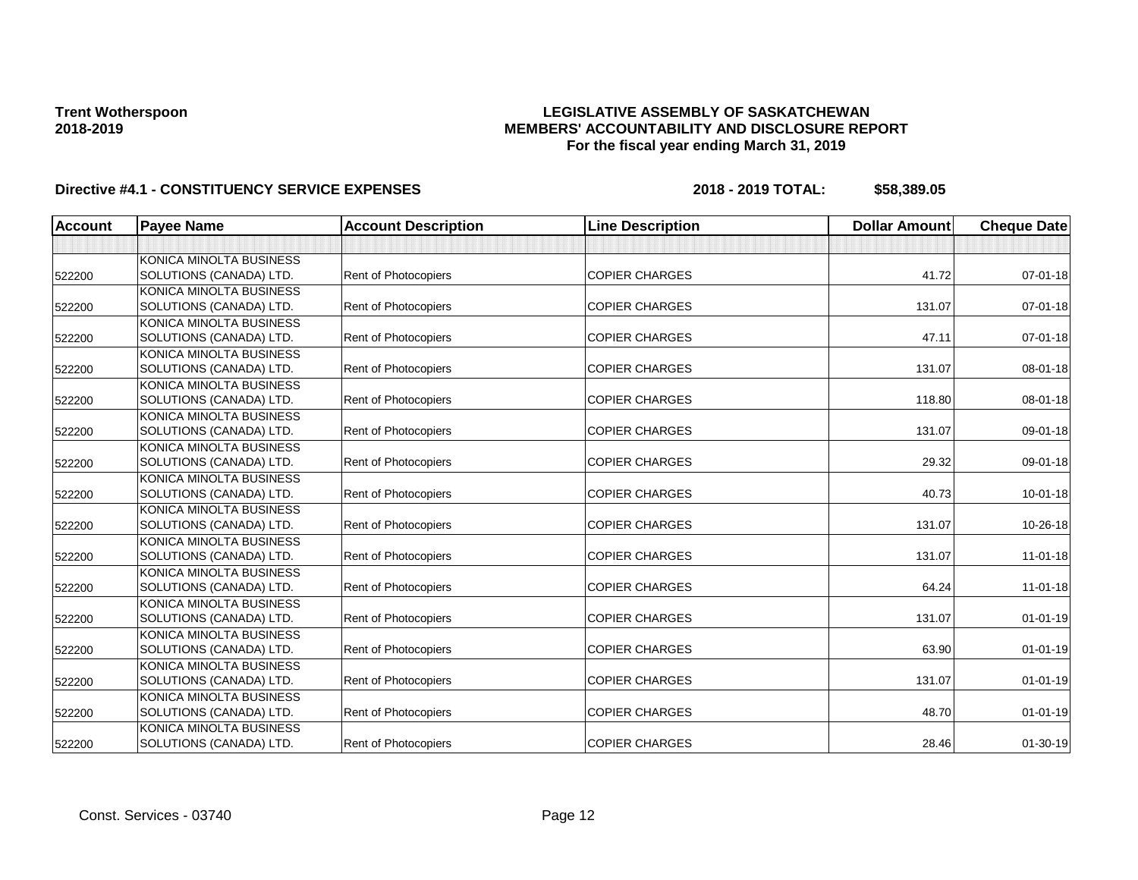### **LEGISLATIVE ASSEMBLY OF SASKATCHEWAN MEMBERS' ACCOUNTABILITY AND DISCLOSURE REPORT For the fiscal year ending March 31, 2019**

| <b>Account</b> | <b>Payee Name</b>       | <b>Account Description</b>  | <b>Line Description</b> | <b>Dollar Amount</b> | <b>Cheque Date</b> |
|----------------|-------------------------|-----------------------------|-------------------------|----------------------|--------------------|
|                |                         |                             |                         |                      |                    |
|                | KONICA MINOLTA BUSINESS |                             |                         |                      |                    |
| 522200         | SOLUTIONS (CANADA) LTD. | <b>Rent of Photocopiers</b> | <b>COPIER CHARGES</b>   | 41.72                | 07-01-18           |
|                | KONICA MINOLTA BUSINESS |                             |                         |                      |                    |
| 522200         | SOLUTIONS (CANADA) LTD. | Rent of Photocopiers        | <b>COPIER CHARGES</b>   | 131.07               | $07 - 01 - 18$     |
|                | KONICA MINOLTA BUSINESS |                             |                         |                      |                    |
| 522200         | SOLUTIONS (CANADA) LTD. | <b>Rent of Photocopiers</b> | <b>COPIER CHARGES</b>   | 47.11                | $07 - 01 - 18$     |
|                | KONICA MINOLTA BUSINESS |                             |                         |                      |                    |
| 522200         | SOLUTIONS (CANADA) LTD. | Rent of Photocopiers        | <b>COPIER CHARGES</b>   | 131.07               | 08-01-18           |
|                | KONICA MINOLTA BUSINESS |                             |                         |                      |                    |
| 522200         | SOLUTIONS (CANADA) LTD. | Rent of Photocopiers        | <b>COPIER CHARGES</b>   | 118.80               | 08-01-18           |
|                | KONICA MINOLTA BUSINESS |                             |                         |                      |                    |
| 522200         | SOLUTIONS (CANADA) LTD. | <b>Rent of Photocopiers</b> | <b>COPIER CHARGES</b>   | 131.07               | 09-01-18           |
|                | KONICA MINOLTA BUSINESS |                             |                         |                      |                    |
| 522200         | SOLUTIONS (CANADA) LTD. | Rent of Photocopiers        | <b>COPIER CHARGES</b>   | 29.32                | 09-01-18           |
|                | KONICA MINOLTA BUSINESS |                             |                         |                      |                    |
| 522200         | SOLUTIONS (CANADA) LTD. | <b>Rent of Photocopiers</b> | <b>COPIER CHARGES</b>   | 40.73                | $10 - 01 - 18$     |
|                | KONICA MINOLTA BUSINESS |                             |                         |                      |                    |
| 522200         | SOLUTIONS (CANADA) LTD. | Rent of Photocopiers        | <b>COPIER CHARGES</b>   | 131.07               | 10-26-18           |
|                | KONICA MINOLTA BUSINESS |                             |                         |                      |                    |
| 522200         | SOLUTIONS (CANADA) LTD. | Rent of Photocopiers        | <b>COPIER CHARGES</b>   | 131.07               | $11-01-18$         |
|                | KONICA MINOLTA BUSINESS |                             |                         |                      |                    |
| 522200         | SOLUTIONS (CANADA) LTD. | Rent of Photocopiers        | <b>COPIER CHARGES</b>   | 64.24                | $11-01-18$         |
|                | KONICA MINOLTA BUSINESS |                             |                         |                      |                    |
| 522200         | SOLUTIONS (CANADA) LTD. | Rent of Photocopiers        | <b>COPIER CHARGES</b>   | 131.07               | $01 - 01 - 19$     |
|                | KONICA MINOLTA BUSINESS |                             |                         |                      |                    |
| 522200         | SOLUTIONS (CANADA) LTD. | Rent of Photocopiers        | <b>COPIER CHARGES</b>   | 63.90                | $01 - 01 - 19$     |
|                | KONICA MINOLTA BUSINESS |                             |                         |                      |                    |
| 522200         | SOLUTIONS (CANADA) LTD. | Rent of Photocopiers        | <b>COPIER CHARGES</b>   | 131.07               | $01 - 01 - 19$     |
|                | KONICA MINOLTA BUSINESS |                             |                         |                      |                    |
| 522200         | SOLUTIONS (CANADA) LTD. | <b>Rent of Photocopiers</b> | <b>COPIER CHARGES</b>   | 48.70                | $01 - 01 - 19$     |
|                | KONICA MINOLTA BUSINESS |                             |                         |                      |                    |
| 522200         | SOLUTIONS (CANADA) LTD. | Rent of Photocopiers        | <b>COPIER CHARGES</b>   | 28.46                | $01 - 30 - 19$     |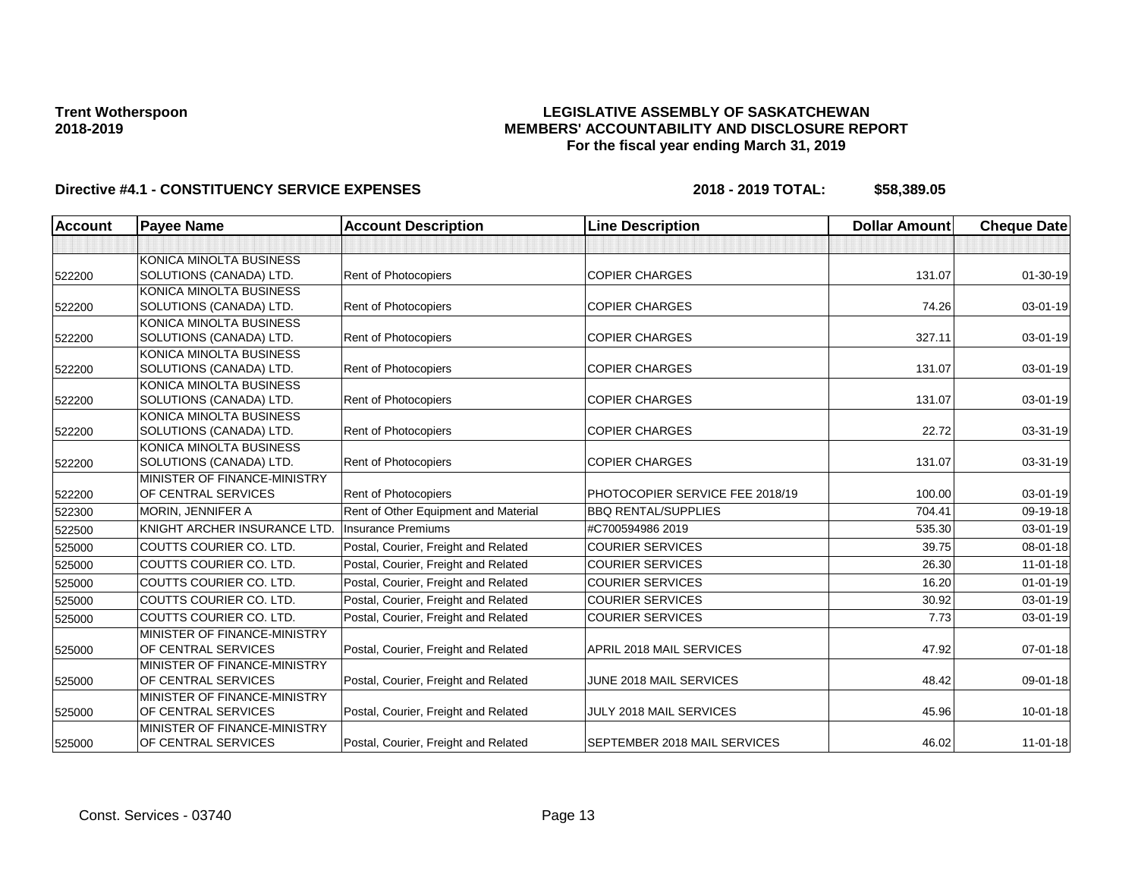### **LEGISLATIVE ASSEMBLY OF SASKATCHEWAN MEMBERS' ACCOUNTABILITY AND DISCLOSURE REPORT For the fiscal year ending March 31, 2019**

| <b>Account</b> | <b>Payee Name</b>                                  | <b>Account Description</b>           | <b>Line Description</b>         | <b>Dollar Amount</b> | <b>Cheque Date</b> |
|----------------|----------------------------------------------------|--------------------------------------|---------------------------------|----------------------|--------------------|
|                |                                                    |                                      |                                 |                      |                    |
|                | <b>KONICA MINOLTA BUSINESS</b>                     |                                      |                                 |                      |                    |
| 522200         | SOLUTIONS (CANADA) LTD.                            | Rent of Photocopiers                 | <b>COPIER CHARGES</b>           | 131.07               | $01 - 30 - 19$     |
|                | KONICA MINOLTA BUSINESS                            |                                      |                                 |                      |                    |
| 522200         | SOLUTIONS (CANADA) LTD.                            | Rent of Photocopiers                 | <b>COPIER CHARGES</b>           | 74.26                | 03-01-19           |
|                | KONICA MINOLTA BUSINESS                            |                                      |                                 |                      |                    |
| 522200         | SOLUTIONS (CANADA) LTD.                            | <b>Rent of Photocopiers</b>          | <b>COPIER CHARGES</b>           | 327.11               | 03-01-19           |
|                | KONICA MINOLTA BUSINESS                            |                                      |                                 |                      |                    |
| 522200         | SOLUTIONS (CANADA) LTD.                            | <b>Rent of Photocopiers</b>          | <b>COPIER CHARGES</b>           | 131.07               | 03-01-19           |
|                | KONICA MINOLTA BUSINESS                            |                                      |                                 |                      |                    |
| 522200         | SOLUTIONS (CANADA) LTD.                            | <b>Rent of Photocopiers</b>          | <b>COPIER CHARGES</b>           | 131.07               | 03-01-19           |
|                | KONICA MINOLTA BUSINESS                            |                                      | <b>COPIER CHARGES</b>           | 22.72                | 03-31-19           |
| 522200         | SOLUTIONS (CANADA) LTD.                            | Rent of Photocopiers                 |                                 |                      |                    |
| 522200         | KONICA MINOLTA BUSINESS<br>SOLUTIONS (CANADA) LTD. | Rent of Photocopiers                 | <b>COPIER CHARGES</b>           | 131.07               | 03-31-19           |
|                | MINISTER OF FINANCE-MINISTRY                       |                                      |                                 |                      |                    |
| 522200         | OF CENTRAL SERVICES                                | <b>Rent of Photocopiers</b>          | PHOTOCOPIER SERVICE FEE 2018/19 | 100.00               | $03 - 01 - 19$     |
| 522300         | MORIN, JENNIFER A                                  | Rent of Other Equipment and Material | <b>BBQ RENTAL/SUPPLIES</b>      | 704.41               | 09-19-18           |
| 522500         | KNIGHT ARCHER INSURANCE LTD.                       | Insurance Premiums                   | #C700594986 2019                | 535.30               | 03-01-19           |
| 525000         | COUTTS COURIER CO. LTD.                            | Postal, Courier, Freight and Related | <b>COURIER SERVICES</b>         | 39.75                | $08 - 01 - 18$     |
| 525000         | COUTTS COURIER CO. LTD.                            | Postal, Courier, Freight and Related | <b>COURIER SERVICES</b>         | 26.30                | $11 - 01 - 18$     |
| 525000         | COUTTS COURIER CO. LTD.                            | Postal, Courier, Freight and Related | <b>COURIER SERVICES</b>         | 16.20                | $01 - 01 - 19$     |
| 525000         | COUTTS COURIER CO. LTD.                            | Postal, Courier, Freight and Related | <b>COURIER SERVICES</b>         | 30.92                | $03 - 01 - 19$     |
| 525000         | COUTTS COURIER CO. LTD.                            | Postal, Courier, Freight and Related | <b>COURIER SERVICES</b>         | 7.73                 | 03-01-19           |
|                | MINISTER OF FINANCE-MINISTRY                       |                                      |                                 |                      |                    |
| 525000         | OF CENTRAL SERVICES                                | Postal, Courier, Freight and Related | APRIL 2018 MAIL SERVICES        | 47.92                | $07 - 01 - 18$     |
|                | MINISTER OF FINANCE-MINISTRY                       |                                      |                                 |                      |                    |
| 525000         | OF CENTRAL SERVICES                                | Postal, Courier, Freight and Related | JUNE 2018 MAIL SERVICES         | 48.42                | 09-01-18           |
|                | MINISTER OF FINANCE-MINISTRY                       |                                      |                                 |                      |                    |
| 525000         | OF CENTRAL SERVICES                                | Postal, Courier, Freight and Related | JULY 2018 MAIL SERVICES         | 45.96                | $10 - 01 - 18$     |
|                | MINISTER OF FINANCE-MINISTRY                       |                                      |                                 |                      |                    |
| 525000         | OF CENTRAL SERVICES                                | Postal, Courier, Freight and Related | SEPTEMBER 2018 MAIL SERVICES    | 46.02                | $11 - 01 - 18$     |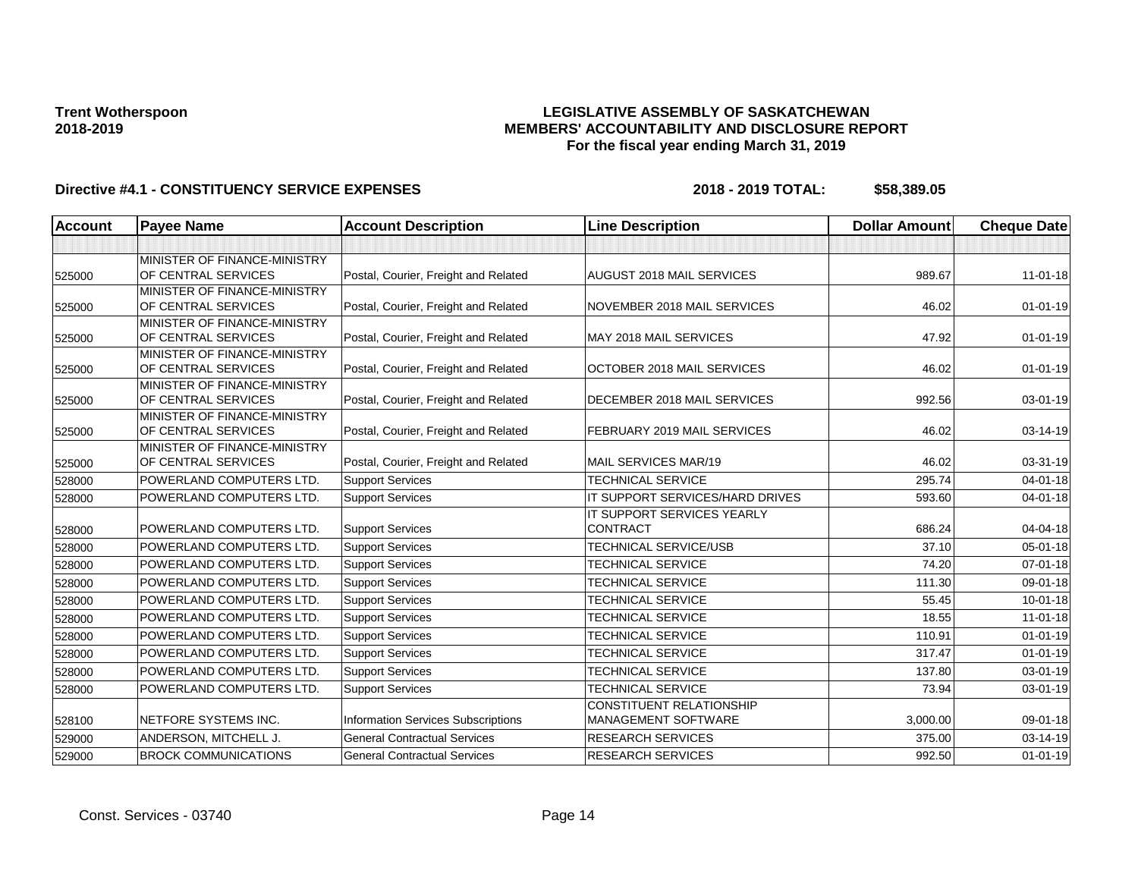### **LEGISLATIVE ASSEMBLY OF SASKATCHEWAN MEMBERS' ACCOUNTABILITY AND DISCLOSURE REPORT For the fiscal year ending March 31, 2019**

| <b>Account</b> | <b>Payee Name</b>                                   | <b>Account Description</b>                | <b>Line Description</b>                                | <b>Dollar Amount</b> | <b>Cheque Date</b> |
|----------------|-----------------------------------------------------|-------------------------------------------|--------------------------------------------------------|----------------------|--------------------|
|                |                                                     |                                           |                                                        |                      |                    |
| 525000         | MINISTER OF FINANCE-MINISTRY<br>OF CENTRAL SERVICES | Postal, Courier, Freight and Related      | AUGUST 2018 MAIL SERVICES                              | 989.67               | $11-01-18$         |
| 525000         | MINISTER OF FINANCE-MINISTRY<br>OF CENTRAL SERVICES | Postal, Courier, Freight and Related      | NOVEMBER 2018 MAIL SERVICES                            | 46.02                | $01 - 01 - 19$     |
| 525000         | MINISTER OF FINANCE-MINISTRY<br>OF CENTRAL SERVICES | Postal, Courier, Freight and Related      | MAY 2018 MAIL SERVICES                                 | 47.92                | $01 - 01 - 19$     |
| 525000         | MINISTER OF FINANCE-MINISTRY<br>OF CENTRAL SERVICES | Postal, Courier, Freight and Related      | OCTOBER 2018 MAIL SERVICES                             | 46.02                | $01 - 01 - 19$     |
| 525000         | MINISTER OF FINANCE-MINISTRY<br>OF CENTRAL SERVICES | Postal, Courier, Freight and Related      | DECEMBER 2018 MAIL SERVICES                            | 992.56               | 03-01-19           |
| 525000         | MINISTER OF FINANCE-MINISTRY<br>OF CENTRAL SERVICES | Postal, Courier, Freight and Related      | FEBRUARY 2019 MAIL SERVICES                            | 46.02                | 03-14-19           |
| 525000         | MINISTER OF FINANCE-MINISTRY<br>OF CENTRAL SERVICES | Postal, Courier, Freight and Related      | MAIL SERVICES MAR/19                                   | 46.02                | 03-31-19           |
| 528000         | POWERLAND COMPUTERS LTD.                            | <b>Support Services</b>                   | <b>TECHNICAL SERVICE</b>                               | 295.74               | $04 - 01 - 18$     |
| 528000         | POWERLAND COMPUTERS LTD.                            | <b>Support Services</b>                   | IT SUPPORT SERVICES/HARD DRIVES                        | 593.60               | $04 - 01 - 18$     |
| 528000         | POWERLAND COMPUTERS LTD.                            | <b>Support Services</b>                   | IT SUPPORT SERVICES YEARLY<br><b>CONTRACT</b>          | 686.24               | 04-04-18           |
| 528000         | POWERLAND COMPUTERS LTD.                            | <b>Support Services</b>                   | <b>TECHNICAL SERVICE/USB</b>                           | 37.10                | 05-01-18           |
| 528000         | POWERLAND COMPUTERS LTD.                            | <b>Support Services</b>                   | <b>TECHNICAL SERVICE</b>                               | 74.20                | $07 - 01 - 18$     |
| 528000         | POWERLAND COMPUTERS LTD.                            | <b>Support Services</b>                   | <b>TECHNICAL SERVICE</b>                               | 111.30               | 09-01-18           |
| 528000         | POWERLAND COMPUTERS LTD.                            | <b>Support Services</b>                   | <b>TECHNICAL SERVICE</b>                               | 55.45                | $10 - 01 - 18$     |
| 528000         | POWERLAND COMPUTERS LTD.                            | <b>Support Services</b>                   | <b>TECHNICAL SERVICE</b>                               | 18.55                | $11-01-18$         |
| 528000         | POWERLAND COMPUTERS LTD.                            | <b>Support Services</b>                   | <b>TECHNICAL SERVICE</b>                               | 110.91               | $01 - 01 - 19$     |
| 528000         | POWERLAND COMPUTERS LTD.                            | <b>Support Services</b>                   | <b>TECHNICAL SERVICE</b>                               | 317.47               | $01 - 01 - 19$     |
| 528000         | POWERLAND COMPUTERS LTD.                            | <b>Support Services</b>                   | <b>TECHNICAL SERVICE</b>                               | 137.80               | 03-01-19           |
| 528000         | POWERLAND COMPUTERS LTD.                            | <b>Support Services</b>                   | <b>TECHNICAL SERVICE</b>                               | 73.94                | 03-01-19           |
| 528100         | NETFORE SYSTEMS INC.                                | <b>Information Services Subscriptions</b> | <b>CONSTITUENT RELATIONSHIP</b><br>MANAGEMENT SOFTWARE | 3,000.00             | 09-01-18           |
| 529000         | ANDERSON, MITCHELL J.                               | <b>General Contractual Services</b>       | <b>RESEARCH SERVICES</b>                               | 375.00               | 03-14-19           |
| 529000         | <b>BROCK COMMUNICATIONS</b>                         | <b>General Contractual Services</b>       | <b>RESEARCH SERVICES</b>                               | 992.50               | $01 - 01 - 19$     |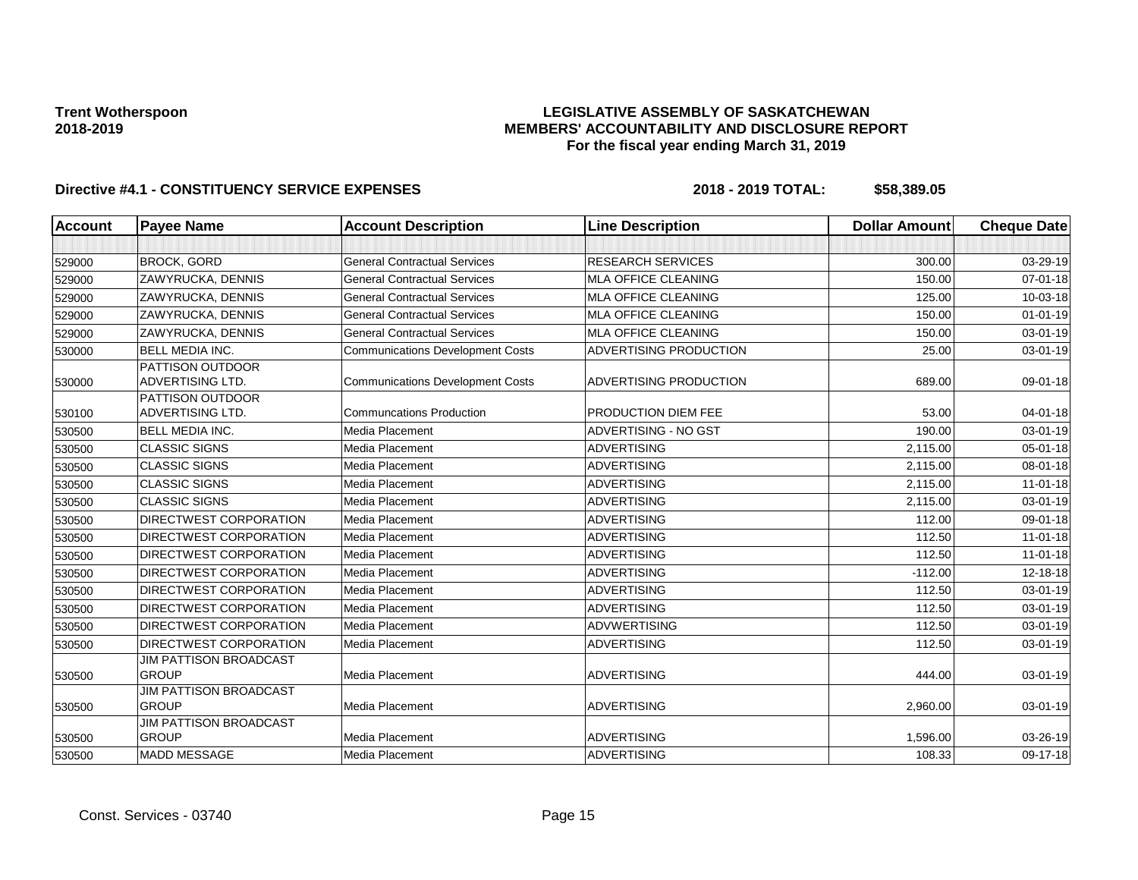### **LEGISLATIVE ASSEMBLY OF SASKATCHEWAN MEMBERS' ACCOUNTABILITY AND DISCLOSURE REPORT For the fiscal year ending March 31, 2019**

| <b>Account</b> | <b>Payee Name</b>                             | <b>Account Description</b>              | <b>Line Description</b>    | <b>Dollar Amount</b> | <b>Cheque Date</b> |
|----------------|-----------------------------------------------|-----------------------------------------|----------------------------|----------------------|--------------------|
|                |                                               |                                         |                            |                      |                    |
| 529000         | <b>BROCK, GORD</b>                            | <b>General Contractual Services</b>     | <b>RESEARCH SERVICES</b>   | 300.00               | 03-29-19           |
| 529000         | ZAWYRUCKA, DENNIS                             | <b>General Contractual Services</b>     | <b>MLA OFFICE CLEANING</b> | 150.00               | $07 - 01 - 18$     |
| 529000         | ZAWYRUCKA, DENNIS                             | <b>General Contractual Services</b>     | <b>MLA OFFICE CLEANING</b> | 125.00               | 10-03-18           |
| 529000         | ZAWYRUCKA, DENNIS                             | <b>General Contractual Services</b>     | <b>MLA OFFICE CLEANING</b> | 150.00               | $01 - 01 - 19$     |
| 529000         | <b>ZAWYRUCKA, DENNIS</b>                      | <b>General Contractual Services</b>     | <b>MLA OFFICE CLEANING</b> | 150.00               | 03-01-19           |
| 530000         | <b>BELL MEDIA INC.</b>                        | <b>Communications Development Costs</b> | ADVERTISING PRODUCTION     | 25.00                | 03-01-19           |
| 530000         | PATTISON OUTDOOR<br>ADVERTISING LTD.          | <b>Communications Development Costs</b> | ADVERTISING PRODUCTION     | 689.00               | 09-01-18           |
| 530100         | PATTISON OUTDOOR<br>ADVERTISING LTD.          | <b>Communcations Production</b>         | PRODUCTION DIEM FEE        | 53.00                | $04 - 01 - 18$     |
| 530500         | <b>BELL MEDIA INC.</b>                        | Media Placement                         | ADVERTISING - NO GST       | 190.00               | 03-01-19           |
| 530500         | <b>CLASSIC SIGNS</b>                          | Media Placement                         | <b>ADVERTISING</b>         | 2,115.00             | $05 - 01 - 18$     |
| 530500         | <b>CLASSIC SIGNS</b>                          | Media Placement                         | <b>ADVERTISING</b>         | 2,115.00             | 08-01-18           |
| 530500         | <b>CLASSIC SIGNS</b>                          | Media Placement                         | <b>ADVERTISING</b>         | 2,115.00             | 11-01-18           |
| 530500         | <b>CLASSIC SIGNS</b>                          | Media Placement                         | <b>ADVERTISING</b>         | 2,115.00             | 03-01-19           |
| 530500         | DIRECTWEST CORPORATION                        | Media Placement                         | <b>ADVERTISING</b>         | 112.00               | 09-01-18           |
| 530500         | DIRECTWEST CORPORATION                        | Media Placement                         | <b>ADVERTISING</b>         | 112.50               | $11-01-18$         |
| 530500         | <b>DIRECTWEST CORPORATION</b>                 | Media Placement                         | <b>ADVERTISING</b>         | 112.50               | $11-01-18$         |
| 530500         | <b>DIRECTWEST CORPORATION</b>                 | Media Placement                         | <b>ADVERTISING</b>         | $-112.00$            | 12-18-18           |
| 530500         | DIRECTWEST CORPORATION                        | Media Placement                         | <b>ADVERTISING</b>         | 112.50               | 03-01-19           |
| 530500         | DIRECTWEST CORPORATION                        | Media Placement                         | <b>ADVERTISING</b>         | 112.50               | 03-01-19           |
| 530500         | DIRECTWEST CORPORATION                        | Media Placement                         | <b>ADVWERTISING</b>        | 112.50               | 03-01-19           |
| 530500         | DIRECTWEST CORPORATION                        | Media Placement                         | <b>ADVERTISING</b>         | 112.50               | 03-01-19           |
| 530500         | <b>JIM PATTISON BROADCAST</b><br><b>GROUP</b> | Media Placement                         | <b>ADVERTISING</b>         | 444.00               | 03-01-19           |
| 530500         | <b>JIM PATTISON BROADCAST</b><br><b>GROUP</b> | Media Placement                         | <b>ADVERTISING</b>         | 2,960.00             | 03-01-19           |
| 530500         | JIM PATTISON BROADCAST<br><b>GROUP</b>        | Media Placement                         | <b>ADVERTISING</b>         | 1,596.00             | 03-26-19           |
| 530500         | <b>MADD MESSAGE</b>                           | Media Placement                         | <b>ADVERTISING</b>         | 108.33               | 09-17-18           |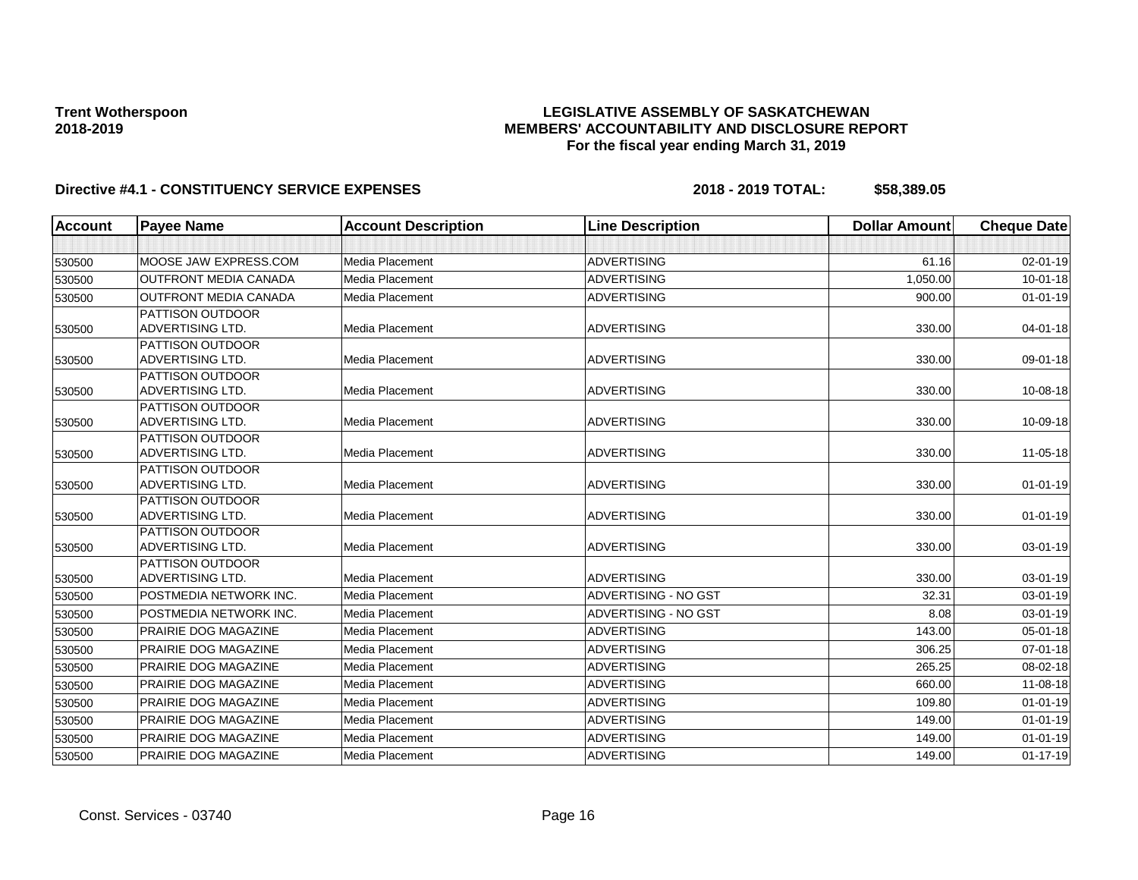### **LEGISLATIVE ASSEMBLY OF SASKATCHEWAN MEMBERS' ACCOUNTABILITY AND DISCLOSURE REPORT For the fiscal year ending March 31, 2019**

| <b>Account</b> | <b>Payee Name</b>                           | <b>Account Description</b> | <b>Line Description</b>     | <b>Dollar Amount</b> | <b>Cheque Date</b> |
|----------------|---------------------------------------------|----------------------------|-----------------------------|----------------------|--------------------|
|                |                                             |                            |                             |                      |                    |
| 530500         | MOOSE JAW EXPRESS.COM                       | Media Placement            | <b>ADVERTISING</b>          | 61.16                | 02-01-19           |
| 530500         | <b>OUTFRONT MEDIA CANADA</b>                | Media Placement            | <b>ADVERTISING</b>          | 1,050.00             | $10 - 01 - 18$     |
| 530500         | <b>OUTFRONT MEDIA CANADA</b>                | Media Placement            | <b>ADVERTISING</b>          | 900.00               | $01 - 01 - 19$     |
|                | <b>PATTISON OUTDOOR</b>                     |                            |                             |                      |                    |
| 530500         | <b>ADVERTISING LTD.</b>                     | Media Placement            | <b>ADVERTISING</b>          | 330.00               | $04 - 01 - 18$     |
|                | PATTISON OUTDOOR                            |                            |                             |                      |                    |
| 530500         | ADVERTISING LTD.                            | Media Placement            | ADVERTISING                 | 330.00               | 09-01-18           |
|                | <b>PATTISON OUTDOOR</b>                     |                            |                             |                      |                    |
| 530500         | ADVERTISING LTD.                            | Media Placement            | <b>ADVERTISING</b>          | 330.00               | 10-08-18           |
|                | <b>PATTISON OUTDOOR</b><br>ADVERTISING LTD. | Media Placement            | <b>ADVERTISING</b>          | 330.00               |                    |
| 530500         | <b>PATTISON OUTDOOR</b>                     |                            |                             |                      | 10-09-18           |
| 530500         | ADVERTISING LTD.                            | Media Placement            | <b>ADVERTISING</b>          | 330.00               | 11-05-18           |
|                | <b>PATTISON OUTDOOR</b>                     |                            |                             |                      |                    |
| 530500         | <b>ADVERTISING LTD.</b>                     | Media Placement            | <b>ADVERTISING</b>          | 330.00               | $01 - 01 - 19$     |
|                | PATTISON OUTDOOR                            |                            |                             |                      |                    |
| 530500         | ADVERTISING LTD.                            | Media Placement            | ADVERTISING                 | 330.00               | $01 - 01 - 19$     |
|                | <b>PATTISON OUTDOOR</b>                     |                            |                             |                      |                    |
| 530500         | ADVERTISING LTD.                            | Media Placement            | <b>ADVERTISING</b>          | 330.00               | 03-01-19           |
|                | <b>PATTISON OUTDOOR</b>                     |                            |                             |                      |                    |
| 530500         | ADVERTISING LTD.                            | Media Placement            | <b>ADVERTISING</b>          | 330.00               | 03-01-19           |
| 530500         | POSTMEDIA NETWORK INC.                      | Media Placement            | <b>ADVERTISING - NO GST</b> | 32.31                | 03-01-19           |
| 530500         | POSTMEDIA NETWORK INC.                      | Media Placement            | ADVERTISING - NO GST        | 8.08                 | 03-01-19           |
| 530500         | <b>PRAIRIE DOG MAGAZINE</b>                 | Media Placement            | <b>ADVERTISING</b>          | 143.00               | $05 - 01 - 18$     |
| 530500         | PRAIRIE DOG MAGAZINE                        | Media Placement            | <b>ADVERTISING</b>          | 306.25               | $07 - 01 - 18$     |
| 530500         | PRAIRIE DOG MAGAZINE                        | Media Placement            | <b>ADVERTISING</b>          | 265.25               | 08-02-18           |
| 530500         | <b>PRAIRIE DOG MAGAZINE</b>                 | Media Placement            | <b>ADVERTISING</b>          | 660.00               | $11 - 08 - 18$     |
| 530500         | PRAIRIE DOG MAGAZINE                        | Media Placement            | <b>ADVERTISING</b>          | 109.80               | $01 - 01 - 19$     |
| 530500         | <b>PRAIRIE DOG MAGAZINE</b>                 | Media Placement            | <b>ADVERTISING</b>          | 149.00               | $01 - 01 - 19$     |
| 530500         | PRAIRIE DOG MAGAZINE                        | Media Placement            | <b>ADVERTISING</b>          | 149.00               | $01 - 01 - 19$     |
| 530500         | PRAIRIE DOG MAGAZINE                        | Media Placement            | <b>ADVERTISING</b>          | 149.00               | $01 - 17 - 19$     |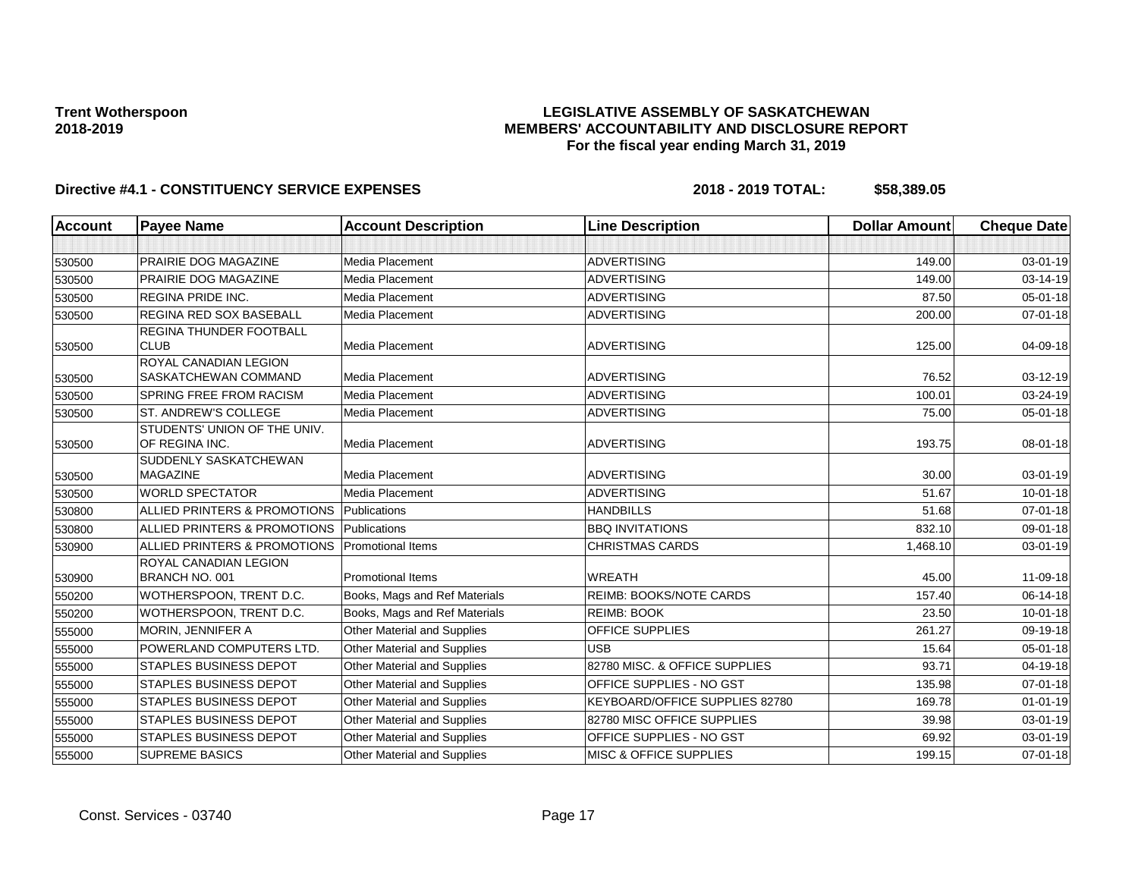### **LEGISLATIVE ASSEMBLY OF SASKATCHEWAN MEMBERS' ACCOUNTABILITY AND DISCLOSURE REPORT For the fiscal year ending March 31, 2019**

| <b>Account</b> | <b>Payee Name</b>                               | <b>Account Description</b>    | <b>Line Description</b>           | <b>Dollar Amount</b> | <b>Cheque Date</b> |
|----------------|-------------------------------------------------|-------------------------------|-----------------------------------|----------------------|--------------------|
|                |                                                 |                               |                                   |                      |                    |
| 530500         | PRAIRIE DOG MAGAZINE                            | Media Placement               | <b>ADVERTISING</b>                | 149.00               | 03-01-19           |
| 530500         | PRAIRIE DOG MAGAZINE                            | Media Placement               | <b>ADVERTISING</b>                | 149.00               | 03-14-19           |
| 530500         | <b>REGINA PRIDE INC.</b>                        | Media Placement               | <b>ADVERTISING</b>                | 87.50                | $05 - 01 - 18$     |
| 530500         | <b>REGINA RED SOX BASEBALL</b>                  | Media Placement               | <b>ADVERTISING</b>                | 200.00               | $07 - 01 - 18$     |
| 530500         | <b>REGINA THUNDER FOOTBALL</b><br><b>CLUB</b>   | Media Placement               | <b>ADVERTISING</b>                | 125.00               | 04-09-18           |
| 530500         | ROYAL CANADIAN LEGION<br>SASKATCHEWAN COMMAND   | Media Placement               | <b>ADVERTISING</b>                | 76.52                | 03-12-19           |
| 530500         | <b>SPRING FREE FROM RACISM</b>                  | Media Placement               | <b>ADVERTISING</b>                | 100.01               | $03 - 24 - 19$     |
| 530500         | ST. ANDREW'S COLLEGE                            | Media Placement               | <b>ADVERTISING</b>                | 75.00                | 05-01-18           |
| 530500         | STUDENTS' UNION OF THE UNIV.<br>OF REGINA INC.  | Media Placement               | <b>ADVERTISING</b>                | 193.75               | 08-01-18           |
| 530500         | <b>SUDDENLY SASKATCHEWAN</b><br><b>MAGAZINE</b> | Media Placement               | <b>ADVERTISING</b>                | 30.00                | 03-01-19           |
| 530500         | <b>WORLD SPECTATOR</b>                          | Media Placement               | <b>ADVERTISING</b>                | 51.67                | $10 - 01 - 18$     |
| 530800         | ALLIED PRINTERS & PROMOTIONS                    | Publications                  | <b>HANDBILLS</b>                  | 51.68                | $07 - 01 - 18$     |
| 530800         | ALLIED PRINTERS & PROMOTIONS                    | Publications                  | <b>BBQ INVITATIONS</b>            | 832.10               | 09-01-18           |
| 530900         | ALLIED PRINTERS & PROMOTIONS                    | <b>Promotional Items</b>      | <b>CHRISTMAS CARDS</b>            | 1,468.10             | 03-01-19           |
| 530900         | <b>ROYAL CANADIAN LEGION</b><br>BRANCH NO. 001  | <b>Promotional Items</b>      | <b>WREATH</b>                     | 45.00                | 11-09-18           |
| 550200         | WOTHERSPOON, TRENT D.C.                         | Books, Mags and Ref Materials | REIMB: BOOKS/NOTE CARDS           | 157.40               | 06-14-18           |
| 550200         | WOTHERSPOON, TRENT D.C.                         | Books, Mags and Ref Materials | <b>REIMB: BOOK</b>                | 23.50                | $10 - 01 - 18$     |
| 555000         | MORIN, JENNIFER A                               | Other Material and Supplies   | <b>OFFICE SUPPLIES</b>            | 261.27               | 09-19-18           |
| 555000         | POWERLAND COMPUTERS LTD.                        | Other Material and Supplies   | <b>USB</b>                        | 15.64                | $05 - 01 - 18$     |
| 555000         | <b>STAPLES BUSINESS DEPOT</b>                   | Other Material and Supplies   | 82780 MISC, & OFFICE SUPPLIES     | 93.71                | 04-19-18           |
| 555000         | STAPLES BUSINESS DEPOT                          | Other Material and Supplies   | OFFICE SUPPLIES - NO GST          | 135.98               | $07 - 01 - 18$     |
| 555000         | <b>STAPLES BUSINESS DEPOT</b>                   | Other Material and Supplies   | KEYBOARD/OFFICE SUPPLIES 82780    | 169.78               | $01 - 01 - 19$     |
| 555000         | <b>STAPLES BUSINESS DEPOT</b>                   | Other Material and Supplies   | 82780 MISC OFFICE SUPPLIES        | 39.98                | 03-01-19           |
| 555000         | <b>STAPLES BUSINESS DEPOT</b>                   | Other Material and Supplies   | OFFICE SUPPLIES - NO GST          | 69.92                | 03-01-19           |
| 555000         | <b>SUPREME BASICS</b>                           | Other Material and Supplies   | <b>MISC &amp; OFFICE SUPPLIES</b> | 199.15               | $07 - 01 - 18$     |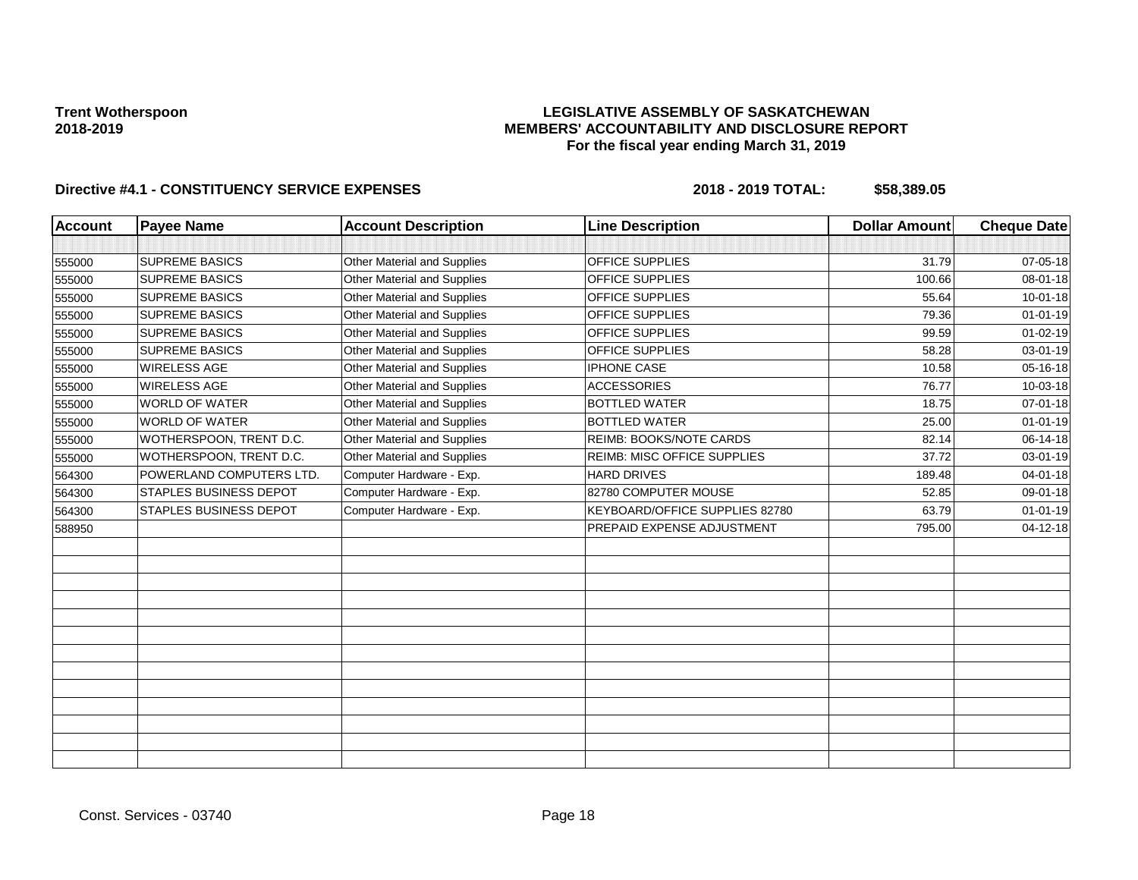### **LEGISLATIVE ASSEMBLY OF SASKATCHEWAN MEMBERS' ACCOUNTABILITY AND DISCLOSURE REPORT For the fiscal year ending March 31, 2019**

| Account | <b>Payee Name</b>             | <b>Account Description</b>  | <b>Line Description</b>            | <b>Dollar Amount</b> | <b>Cheque Date</b> |
|---------|-------------------------------|-----------------------------|------------------------------------|----------------------|--------------------|
|         |                               |                             |                                    |                      |                    |
| 555000  | <b>SUPREME BASICS</b>         | Other Material and Supplies | OFFICE SUPPLIES                    | 31.79                | 07-05-18           |
| 555000  | <b>SUPREME BASICS</b>         | Other Material and Supplies | OFFICE SUPPLIES                    | 100.66               | 08-01-18           |
| 555000  | <b>SUPREME BASICS</b>         | Other Material and Supplies | OFFICE SUPPLIES                    | 55.64                | $10 - 01 - 18$     |
| 555000  | <b>SUPREME BASICS</b>         | Other Material and Supplies | OFFICE SUPPLIES                    | 79.36                | $01 - 01 - 19$     |
| 555000  | <b>SUPREME BASICS</b>         | Other Material and Supplies | OFFICE SUPPLIES                    | 99.59                | $01 - 02 - 19$     |
| 555000  | <b>SUPREME BASICS</b>         | Other Material and Supplies | OFFICE SUPPLIES                    | 58.28                | 03-01-19           |
| 555000  | <b>WIRELESS AGE</b>           | Other Material and Supplies | <b>IPHONE CASE</b>                 | 10.58                | 05-16-18           |
| 555000  | <b>WIRELESS AGE</b>           | Other Material and Supplies | <b>ACCESSORIES</b>                 | 76.77                | 10-03-18           |
| 555000  | <b>WORLD OF WATER</b>         | Other Material and Supplies | <b>BOTTLED WATER</b>               | 18.75                | 07-01-18           |
| 555000  | <b>WORLD OF WATER</b>         | Other Material and Supplies | <b>BOTTLED WATER</b>               | 25.00                | $01 - 01 - 19$     |
| 555000  | WOTHERSPOON, TRENT D.C.       | Other Material and Supplies | <b>REIMB: BOOKS/NOTE CARDS</b>     | 82.14                | 06-14-18           |
| 555000  | WOTHERSPOON, TRENT D.C.       | Other Material and Supplies | <b>REIMB: MISC OFFICE SUPPLIES</b> | 37.72                | 03-01-19           |
| 564300  | POWERLAND COMPUTERS LTD.      | Computer Hardware - Exp.    | <b>HARD DRIVES</b>                 | 189.48               | 04-01-18           |
| 564300  | <b>STAPLES BUSINESS DEPOT</b> | Computer Hardware - Exp.    | 82780 COMPUTER MOUSE               | 52.85                | $09 - 01 - 18$     |
| 564300  | <b>STAPLES BUSINESS DEPOT</b> | Computer Hardware - Exp.    | KEYBOARD/OFFICE SUPPLIES 82780     | 63.79                | $01 - 01 - 19$     |
| 588950  |                               |                             | PREPAID EXPENSE ADJUSTMENT         | 795.00               | 04-12-18           |
|         |                               |                             |                                    |                      |                    |
|         |                               |                             |                                    |                      |                    |
|         |                               |                             |                                    |                      |                    |
|         |                               |                             |                                    |                      |                    |
|         |                               |                             |                                    |                      |                    |
|         |                               |                             |                                    |                      |                    |
|         |                               |                             |                                    |                      |                    |
|         |                               |                             |                                    |                      |                    |
|         |                               |                             |                                    |                      |                    |
|         |                               |                             |                                    |                      |                    |
|         |                               |                             |                                    |                      |                    |
|         |                               |                             |                                    |                      |                    |
|         |                               |                             |                                    |                      |                    |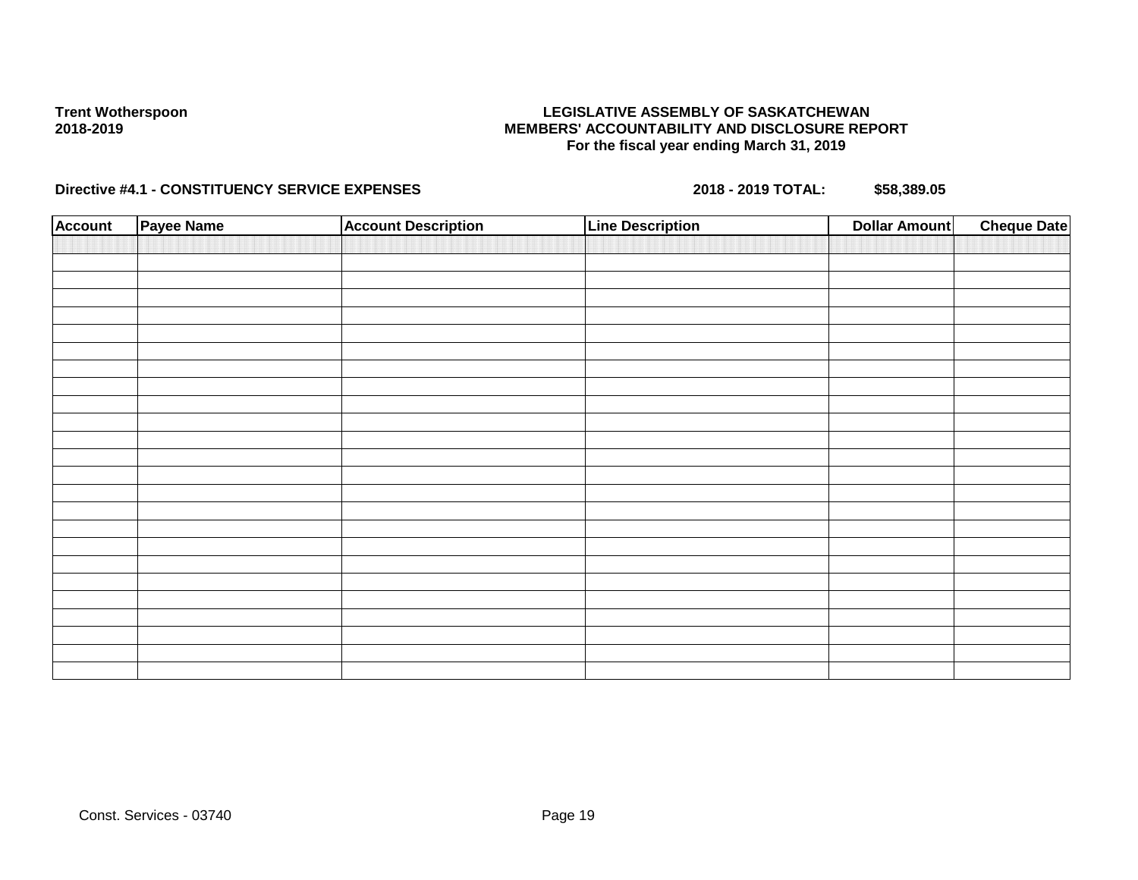### **LEGISLATIVE ASSEMBLY OF SASKATCHEWAN MEMBERS' ACCOUNTABILITY AND DISCLOSURE REPORT For the fiscal year ending March 31, 2019**

| <b>Account</b> | <b>Payee Name</b> | <b>Account Description</b> | <b>Line Description</b> | <b>Dollar Amount</b> | <b>Cheque Date</b> |
|----------------|-------------------|----------------------------|-------------------------|----------------------|--------------------|
|                |                   |                            |                         |                      |                    |
|                |                   |                            |                         |                      |                    |
|                |                   |                            |                         |                      |                    |
|                |                   |                            |                         |                      |                    |
|                |                   |                            |                         |                      |                    |
|                |                   |                            |                         |                      |                    |
|                |                   |                            |                         |                      |                    |
|                |                   |                            |                         |                      |                    |
|                |                   |                            |                         |                      |                    |
|                |                   |                            |                         |                      |                    |
|                |                   |                            |                         |                      |                    |
|                |                   |                            |                         |                      |                    |
|                |                   |                            |                         |                      |                    |
|                |                   |                            |                         |                      |                    |
|                |                   |                            |                         |                      |                    |
|                |                   |                            |                         |                      |                    |
|                |                   |                            |                         |                      |                    |
|                |                   |                            |                         |                      |                    |
|                |                   |                            |                         |                      |                    |
|                |                   |                            |                         |                      |                    |
|                |                   |                            |                         |                      |                    |
|                |                   |                            |                         |                      |                    |
|                |                   |                            |                         |                      |                    |
|                |                   |                            |                         |                      |                    |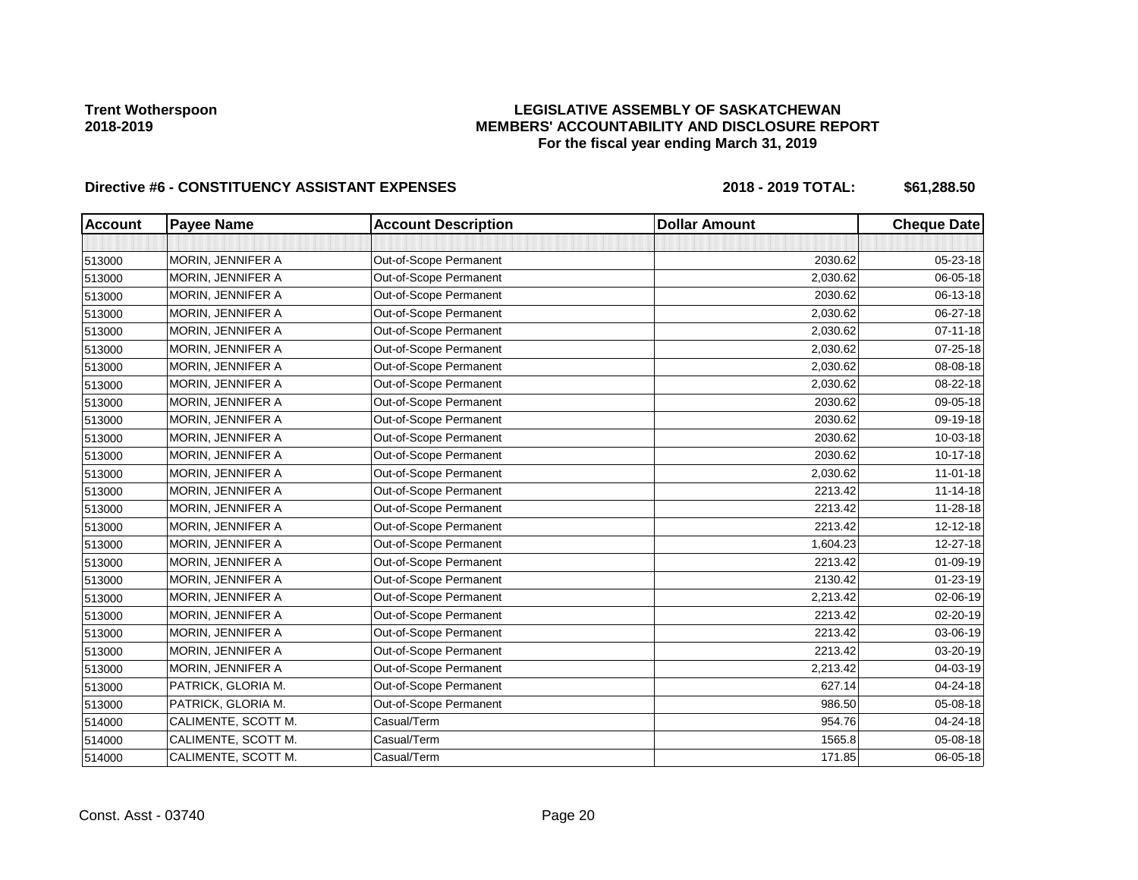## **LEGISLATIVE ASSEMBLY OF SASKATCHEWAN MEMBERS' ACCOUNTABILITY AND DISCLOSURE REPORT For the fiscal year ending March 31, 2019**

| <b>Account</b> | <b>Payee Name</b>   | <b>Account Description</b> | <b>Dollar Amount</b> | <b>Cheque Date</b> |
|----------------|---------------------|----------------------------|----------------------|--------------------|
|                |                     |                            |                      |                    |
| 513000         | MORIN, JENNIFER A   | Out-of-Scope Permanent     | 2030.62              | 05-23-18           |
| 513000         | MORIN, JENNIFER A   | Out-of-Scope Permanent     | 2,030.62             | 06-05-18           |
| 513000         | MORIN, JENNIFER A   | Out-of-Scope Permanent     | 2030.62              | 06-13-18           |
| 513000         | MORIN, JENNIFER A   | Out-of-Scope Permanent     | 2,030.62             | 06-27-18           |
| 513000         | MORIN, JENNIFER A   | Out-of-Scope Permanent     | 2,030.62             | 07-11-18           |
| 513000         | MORIN, JENNIFER A   | Out-of-Scope Permanent     | 2,030.62             | 07-25-18           |
| 513000         | MORIN, JENNIFER A   | Out-of-Scope Permanent     | 2,030.62             | 08-08-18           |
| 513000         | MORIN, JENNIFER A   | Out-of-Scope Permanent     | 2,030.62             | 08-22-18           |
| 513000         | MORIN, JENNIFER A   | Out-of-Scope Permanent     | 2030.62              | 09-05-18           |
| 513000         | MORIN, JENNIFER A   | Out-of-Scope Permanent     | 2030.62              | 09-19-18           |
| 513000         | MORIN, JENNIFER A   | Out-of-Scope Permanent     | 2030.62              | 10-03-18           |
| 513000         | MORIN, JENNIFER A   | Out-of-Scope Permanent     | 2030.62              | $10-17-18$         |
| 513000         | MORIN, JENNIFER A   | Out-of-Scope Permanent     | 2,030.62             | $11-01-18$         |
| 513000         | MORIN, JENNIFER A   | Out-of-Scope Permanent     | 2213.42              | $11 - 14 - 18$     |
| 513000         | MORIN, JENNIFER A   | Out-of-Scope Permanent     | 2213.42              | 11-28-18           |
| 513000         | MORIN, JENNIFER A   | Out-of-Scope Permanent     | 2213.42              | 12-12-18           |
| 513000         | MORIN, JENNIFER A   | Out-of-Scope Permanent     | 1,604.23             | 12-27-18           |
| 513000         | MORIN, JENNIFER A   | Out-of-Scope Permanent     | 2213.42              | $01 - 09 - 19$     |
| 513000         | MORIN, JENNIFER A   | Out-of-Scope Permanent     | 2130.42              | 01-23-19           |
| 513000         | MORIN, JENNIFER A   | Out-of-Scope Permanent     | 2,213.42             | 02-06-19           |
| 513000         | MORIN, JENNIFER A   | Out-of-Scope Permanent     | 2213.42              | 02-20-19           |
| 513000         | MORIN, JENNIFER A   | Out-of-Scope Permanent     | 2213.42              | 03-06-19           |
| 513000         | MORIN, JENNIFER A   | Out-of-Scope Permanent     | 2213.42              | 03-20-19           |
| 513000         | MORIN, JENNIFER A   | Out-of-Scope Permanent     | 2,213.42             | 04-03-19           |
| 513000         | PATRICK, GLORIA M.  | Out-of-Scope Permanent     | 627.14               | 04-24-18           |
| 513000         | PATRICK, GLORIA M.  | Out-of-Scope Permanent     | 986.50               | 05-08-18           |
| 514000         | CALIMENTE, SCOTT M. | Casual/Term                | 954.76               | 04-24-18           |
| 514000         | CALIMENTE, SCOTT M. | Casual/Term                | 1565.8               | 05-08-18           |
| 514000         | CALIMENTE, SCOTT M. | Casual/Term                | 171.85               | 06-05-18           |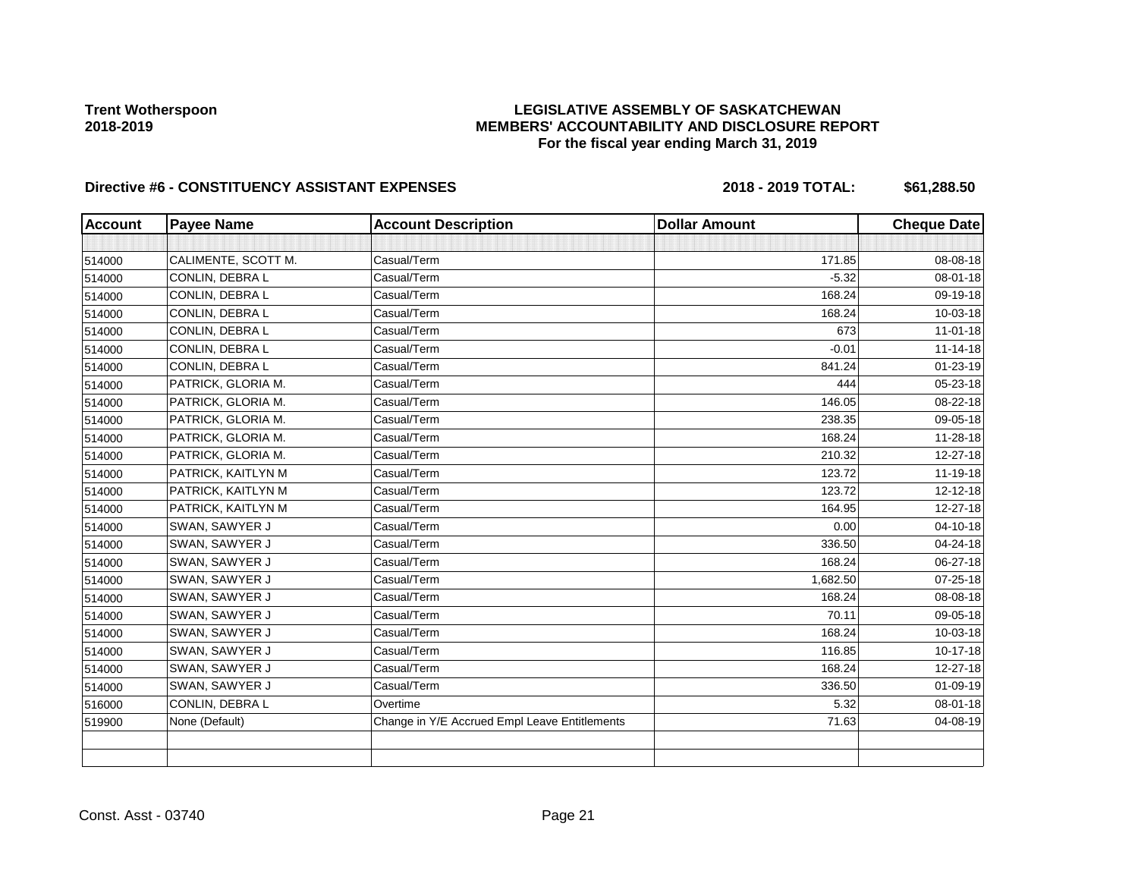## **LEGISLATIVE ASSEMBLY OF SASKATCHEWAN MEMBERS' ACCOUNTABILITY AND DISCLOSURE REPORT For the fiscal year ending March 31, 2019**

| <b>Account</b> | <b>Payee Name</b>   | <b>Account Description</b>                    | <b>Dollar Amount</b> | <b>Cheque Date</b> |
|----------------|---------------------|-----------------------------------------------|----------------------|--------------------|
|                |                     |                                               |                      |                    |
| 514000         | CALIMENTE, SCOTT M. | Casual/Term                                   | 171.85               | 08-08-18           |
| 514000         | CONLIN, DEBRA L     | Casual/Term                                   | $-5.32$              | 08-01-18           |
| 514000         | CONLIN. DEBRA L     | Casual/Term                                   | 168.24               | 09-19-18           |
| 514000         | CONLIN, DEBRA L     | Casual/Term                                   | 168.24               | 10-03-18           |
| 514000         | CONLIN, DEBRA L     | Casual/Term                                   | 673                  | $11-01-18$         |
| 514000         | CONLIN, DEBRA L     | Casual/Term                                   | $-0.01$              | $11 - 14 - 18$     |
| 514000         | CONLIN, DEBRA L     | Casual/Term                                   | 841.24               | $01 - 23 - 19$     |
| 514000         | PATRICK, GLORIA M.  | Casual/Term                                   | 444                  | 05-23-18           |
| 514000         | PATRICK, GLORIA M.  | Casual/Term                                   | 146.05               | 08-22-18           |
| 514000         | PATRICK, GLORIA M.  | Casual/Term                                   | 238.35               | 09-05-18           |
| 514000         | PATRICK, GLORIA M.  | Casual/Term                                   | 168.24               | 11-28-18           |
| 514000         | PATRICK, GLORIA M.  | Casual/Term                                   | 210.32               | 12-27-18           |
| 514000         | PATRICK, KAITLYN M  | Casual/Term                                   | 123.72               | 11-19-18           |
| 514000         | PATRICK, KAITLYN M  | Casual/Term                                   | 123.72               | 12-12-18           |
| 514000         | PATRICK, KAITLYN M  | Casual/Term                                   | 164.95               | 12-27-18           |
| 514000         | SWAN, SAWYER J      | Casual/Term                                   | 0.00                 | 04-10-18           |
| 514000         | SWAN, SAWYER J      | Casual/Term                                   | 336.50               | 04-24-18           |
| 514000         | SWAN, SAWYER J      | Casual/Term                                   | 168.24               | 06-27-18           |
| 514000         | SWAN, SAWYER J      | Casual/Term                                   | 1,682.50             | 07-25-18           |
| 514000         | SWAN, SAWYER J      | Casual/Term                                   | 168.24               | 08-08-18           |
| 514000         | SWAN, SAWYER J      | Casual/Term                                   | 70.11                | 09-05-18           |
| 514000         | SWAN, SAWYER J      | Casual/Term                                   | 168.24               | 10-03-18           |
| 514000         | SWAN, SAWYER J      | Casual/Term                                   | 116.85               | 10-17-18           |
| 514000         | SWAN, SAWYER J      | Casual/Term                                   | 168.24               | 12-27-18           |
| 514000         | SWAN, SAWYER J      | Casual/Term                                   | 336.50               | 01-09-19           |
| 516000         | CONLIN, DEBRA L     | Overtime                                      | 5.32                 | 08-01-18           |
| 519900         | None (Default)      | Change in Y/E Accrued Empl Leave Entitlements | 71.63                | 04-08-19           |
|                |                     |                                               |                      |                    |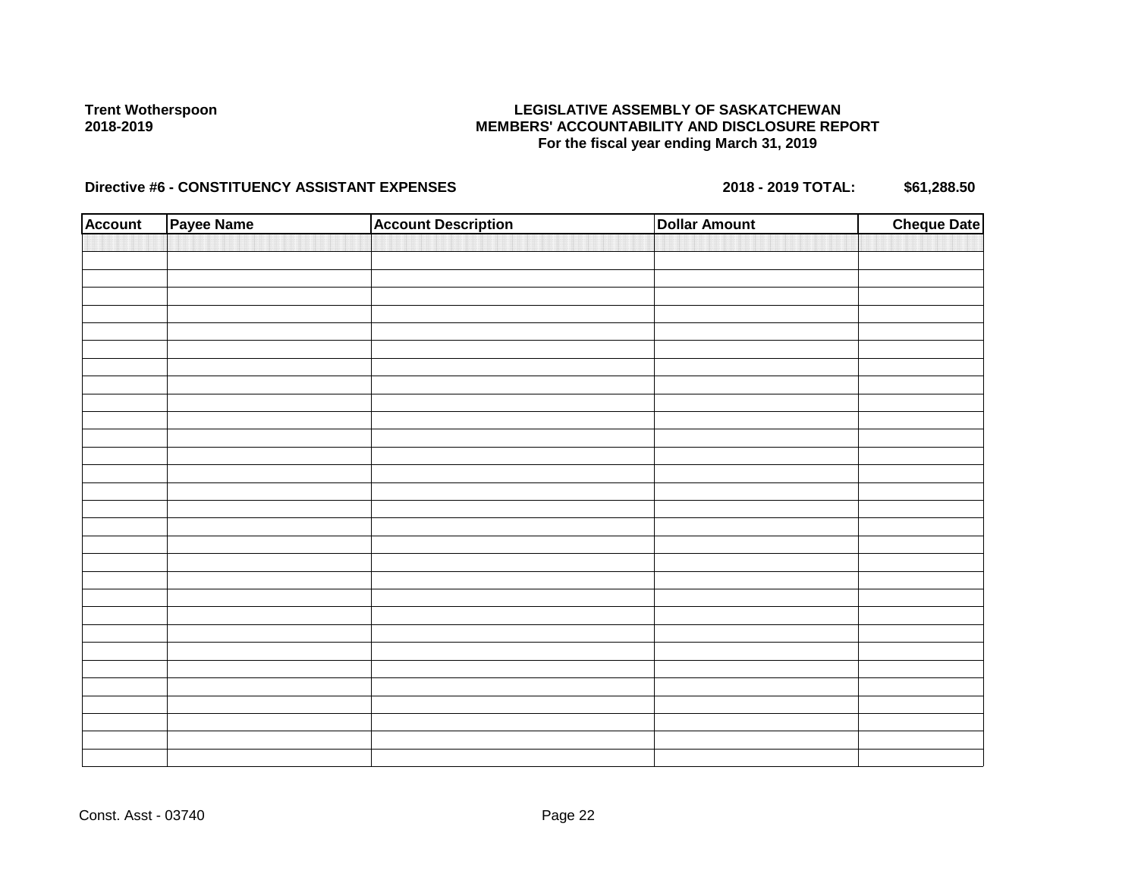### **LEGISLATIVE ASSEMBLY OF SASKATCHEWAN MEMBERS' ACCOUNTABILITY AND DISCLOSURE REPORT For the fiscal year ending March 31, 2019**

| <b>Account</b> | Payee Name | <b>Account Description</b> | <b>Dollar Amount</b> | <b>Cheque Date</b> |
|----------------|------------|----------------------------|----------------------|--------------------|
|                |            |                            |                      |                    |
|                |            |                            |                      |                    |
|                |            |                            |                      |                    |
|                |            |                            |                      |                    |
|                |            |                            |                      |                    |
|                |            |                            |                      |                    |
|                |            |                            |                      |                    |
|                |            |                            |                      |                    |
|                |            |                            |                      |                    |
|                |            |                            |                      |                    |
|                |            |                            |                      |                    |
|                |            |                            |                      |                    |
|                |            |                            |                      |                    |
|                |            |                            |                      |                    |
|                |            |                            |                      |                    |
|                |            |                            |                      |                    |
|                |            |                            |                      |                    |
|                |            |                            |                      |                    |
|                |            |                            |                      |                    |
|                |            |                            |                      |                    |
|                |            |                            |                      |                    |
|                |            |                            |                      |                    |
|                |            |                            |                      |                    |
|                |            |                            |                      |                    |
|                |            |                            |                      |                    |
|                |            |                            |                      |                    |
|                |            |                            |                      |                    |
|                |            |                            |                      |                    |
|                |            |                            |                      |                    |
|                |            |                            |                      |                    |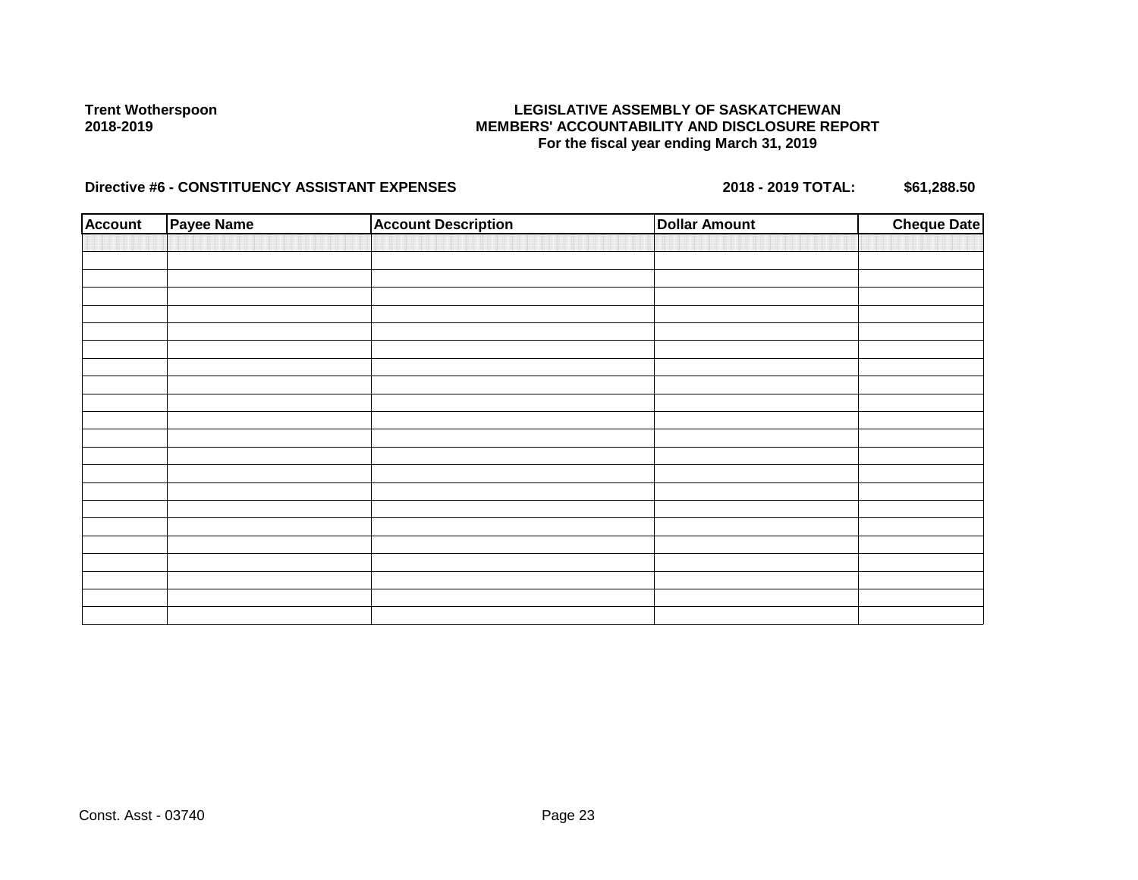### **LEGISLATIVE ASSEMBLY OF SASKATCHEWAN MEMBERS' ACCOUNTABILITY AND DISCLOSURE REPORT For the fiscal year ending March 31, 2019**

| <b>Account</b> | Payee Name | <b>Account Description</b> | <b>Dollar Amount</b> | <b>Cheque Date</b> |
|----------------|------------|----------------------------|----------------------|--------------------|
|                |            |                            |                      |                    |
|                |            |                            |                      |                    |
|                |            |                            |                      |                    |
|                |            |                            |                      |                    |
|                |            |                            |                      |                    |
|                |            |                            |                      |                    |
|                |            |                            |                      |                    |
|                |            |                            |                      |                    |
|                |            |                            |                      |                    |
|                |            |                            |                      |                    |
|                |            |                            |                      |                    |
|                |            |                            |                      |                    |
|                |            |                            |                      |                    |
|                |            |                            |                      |                    |
|                |            |                            |                      |                    |
|                |            |                            |                      |                    |
|                |            |                            |                      |                    |
|                |            |                            |                      |                    |
|                |            |                            |                      |                    |
|                |            |                            |                      |                    |